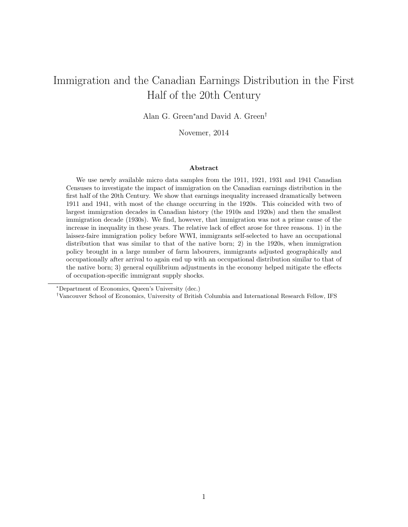## Immigration and the Canadian Earnings Distribution in the First Half of the 20th Century

Alan G. Green<sup>∗</sup>and David A. Green†

Novemer, 2014

#### Abstract

We use newly available micro data samples from the 1911, 1921, 1931 and 1941 Canadian Censuses to investigate the impact of immigration on the Canadian earnings distribution in the first half of the 20th Century. We show that earnings inequality increased dramatically between 1911 and 1941, with most of the change occurring in the 1920s. This coincided with two of largest immigration decades in Canadian history (the 1910s and 1920s) and then the smallest immigration decade (1930s). We find, however, that immigration was not a prime cause of the increase in inequality in these years. The relative lack of effect arose for three reasons. 1) in the laissez-faire immigration policy before WWI, immigrants self-selected to have an occupational distribution that was similar to that of the native born; 2) in the 1920s, when immigration policy brought in a large number of farm labourers, immigrants adjusted geographically and occupationally after arrival to again end up with an occupational distribution similar to that of the native born; 3) general equilibrium adjustments in the economy helped mitigate the effects of occupation-specific immigrant supply shocks.

<sup>∗</sup>Department of Economics, Queen's University (dec.)

<sup>†</sup>Vancouver School of Economics, University of British Columbia and International Research Fellow, IFS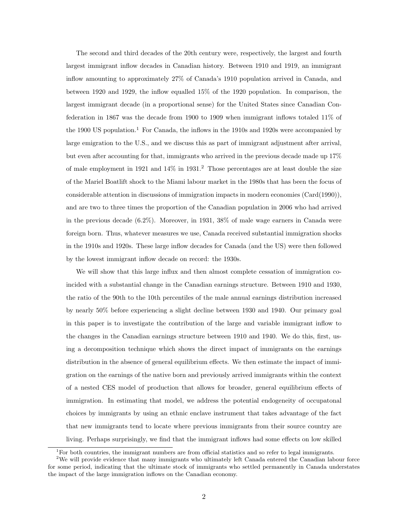The second and third decades of the 20th century were, respectively, the largest and fourth largest immigrant inflow decades in Canadian history. Between 1910 and 1919, an immigrant inflow amounting to approximately 27% of Canada's 1910 population arrived in Canada, and between 1920 and 1929, the inflow equalled 15% of the 1920 population. In comparison, the largest immigrant decade (in a proportional sense) for the United States since Canadian Confederation in 1867 was the decade from 1900 to 1909 when immigrant inflows totaled 11% of the 1900 US population.<sup>1</sup> For Canada, the inflows in the 1910s and 1920s were accompanied by large emigration to the U.S., and we discuss this as part of immigrant adjustment after arrival, but even after accounting for that, immigrants who arrived in the previous decade made up 17% of male employment in 1921 and  $14\%$  in 1931.<sup>2</sup> Those percentages are at least double the size of the Mariel Boatlift shock to the Miami labour market in the 1980s that has been the focus of considerable attention in discussions of immigration impacts in modern economies (Card(1990)), and are two to three times the proportion of the Canadian population in 2006 who had arrived in the previous decade (6.2%). Moreover, in 1931, 38% of male wage earners in Canada were foreign born. Thus, whatever measures we use, Canada received substantial immigration shocks in the 1910s and 1920s. These large inflow decades for Canada (and the US) were then followed by the lowest immigrant inflow decade on record: the 1930s.

We will show that this large influx and then almost complete cessation of immigration coincided with a substantial change in the Canadian earnings structure. Between 1910 and 1930, the ratio of the 90th to the 10th percentiles of the male annual earnings distribution increased by nearly 50% before experiencing a slight decline between 1930 and 1940. Our primary goal in this paper is to investigate the contribution of the large and variable immigrant inflow to the changes in the Canadian earnings structure between 1910 and 1940. We do this, first, using a decomposition technique which shows the direct impact of immigrants on the earnings distribution in the absence of general equilibrium effects. We then estimate the impact of immigration on the earnings of the native born and previously arrived immigrants within the context of a nested CES model of production that allows for broader, general equilibrium effects of immigration. In estimating that model, we address the potential endogeneity of occupatonal choices by immigrants by using an ethnic enclave instrument that takes advantage of the fact that new immigrants tend to locate where previous immigrants from their source country are living. Perhaps surprisingly, we find that the immigrant inflows had some effects on low skilled

 $1$ For both countries, the immigrant numbers are from official statistics and so refer to legal immigrants.

<sup>&</sup>lt;sup>2</sup>We will provide evidence that many immigrants who ultimately left Canada entered the Canadian labour force for some period, indicating that the ultimate stock of immigrants who settled permanently in Canada understates the impact of the large immigration inflows on the Canadian economy.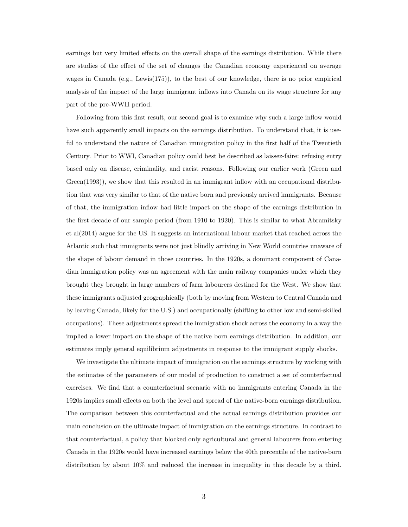earnings but very limited effects on the overall shape of the earnings distribution. While there are studies of the effect of the set of changes the Canadian economy experienced on average wages in Canada (e.g., Lewis(175)), to the best of our knowledge, there is no prior empirical analysis of the impact of the large immigrant inflows into Canada on its wage structure for any part of the pre-WWII period.

Following from this first result, our second goal is to examine why such a large inflow would have such apparently small impacts on the earnings distribution. To understand that, it is useful to understand the nature of Canadian immigration policy in the first half of the Twentieth Century. Prior to WWI, Canadian policy could best be described as laissez-faire: refusing entry based only on disease, criminality, and racist reasons. Following our earlier work (Green and Green(1993)), we show that this resulted in an immigrant inflow with an occupational distribution that was very similar to that of the native born and previously arrived immigrants. Because of that, the immigration inflow had little impact on the shape of the earnings distribution in the first decade of our sample period (from 1910 to 1920). This is similar to what Abramitsky et al(2014) argue for the US. It suggests an international labour market that reached across the Atlantic such that immigrants were not just blindly arriving in New World countries unaware of the shape of labour demand in those countries. In the 1920s, a dominant component of Canadian immigration policy was an agreement with the main railway companies under which they brought they brought in large numbers of farm labourers destined for the West. We show that these immigrants adjusted geographically (both by moving from Western to Central Canada and by leaving Canada, likely for the U.S.) and occupationally (shifting to other low and semi-skilled occupations). These adjustments spread the immigration shock across the economy in a way the implied a lower impact on the shape of the native born earnings distribution. In addition, our estimates imply general equilibrium adjustments in response to the immigrant supply shocks.

We investigate the ultimate impact of immigration on the earnings structure by working with the estimates of the parameters of our model of production to construct a set of counterfactual exercises. We find that a counterfactual scenario with no immigrants entering Canada in the 1920s implies small effects on both the level and spread of the native-born earnings distribution. The comparison between this counterfactual and the actual earnings distribution provides our main conclusion on the ultimate impact of immigration on the earnings structure. In contrast to that counterfactual, a policy that blocked only agricultural and general labourers from entering Canada in the 1920s would have increased earnings below the 40th percentile of the native-born distribution by about 10% and reduced the increase in inequality in this decade by a third.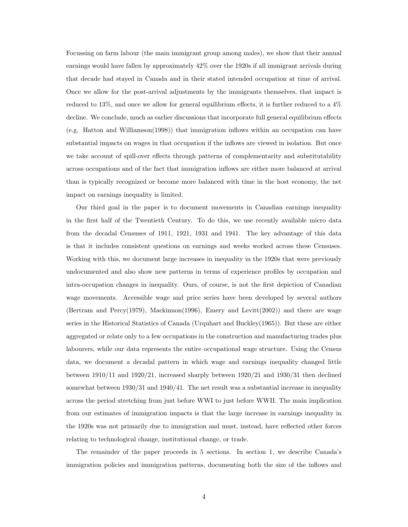Focussing on farm labour (the main immigrant group among males), we show that their annual earnings would have fallen by approximately 42% over the 1920s if all immigrant arrivals during that decade had stayed in Canada and in their stated intended occupation at time of arrival. Once we allow for the post-arrival adjustments by the immigrants themselves, that impact is reduced to 13%, and once we allow for general equilibrium effects, it is further reduced to a 4% decline. We conclude, much as earlier discussions that incorporate full general equilibrium effects (e.g. Hatton and Williamson(1998)) that immigration inflows within an occupation can have substantial impacts on wages in that occupation if the inflows are viewed in isolation. But once we take account of spill-over effects through patterns of complementarity and substitutability across occupations and of the fact that immigration inflows are either more balanced at arrival than is typically recognized or become more balanced with time in the host economy, the net impact on earnings inequality is limited.

Our third goal in the paper is to document movements in Canadian earnings inequality in the first half of the Twentieth Century. To do this, we use recently available micro data from the decadal Censuses of 1911, 1921, 1931 and 1941. The key advantage of this data is that it includes consistent questions on earnings and weeks worked across these Censuses. Working with this, we document large increases in inequality in the 1920s that were previously undocumented and also show new patterns in terms of experience profiles by occupation and intra-occupation changes in inequality. Ours, of course, is not the first depiction of Canadian wage movements. Accessible wage and price series have been developed by several authors (Bertram and Percy(1979), Mackinnon(1996), Emery and Levitt(2002)) and there are wage series in the Historical Statistics of Canada (Urquhart and Buckley(1965)). But these are either aggregated or relate only to a few occupations in the construction and manufacturing trades plus labourers, while our data represents the entire occupational wage structure. Using the Census data, we document a decadal pattern in which wage and earnings inequality changed little between 1910/11 and 1920/21, increased sharply between 1920/21 and 1930/31 then declined somewhat between 1930/31 and 1940/41. The net result was a substantial increase in inequality across the period stretching from just before WWI to just before WWII. The main implication from our estimates of immigration impacts is that the large increase in earnings inequality in the 1920s was not primarily due to immigration and must, instead, have reflected other forces relating to technological change, institutional change, or trade.

The remainder of the paper proceeds in 5 sections. In section 1, we describe Canada's immigration policies and immigration patterns, documenting both the size of the inflows and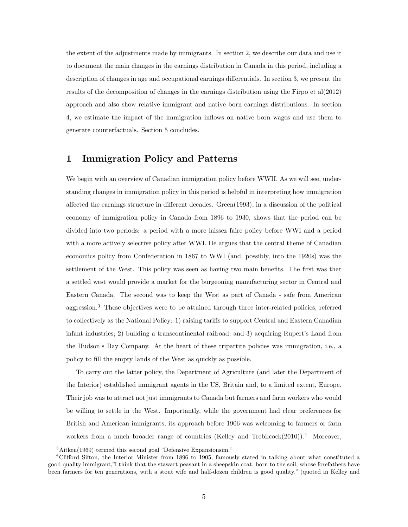the extent of the adjustments made by immigrants. In section 2, we describe our data and use it to document the main changes in the earnings distribution in Canada in this period, including a description of changes in age and occupational earnings differentials. In section 3, we present the results of the decomposition of changes in the earnings distribution using the Firpo et al(2012) approach and also show relative immigrant and native born earnings distributions. In section 4, we estimate the impact of the immigration inflows on native born wages and use them to generate counterfactuals. Section 5 concludes.

## 1 Immigration Policy and Patterns

We begin with an overview of Canadian immigration policy before WWII. As we will see, understanding changes in immigration policy in this period is helpful in interpreting how immigration affected the earnings structure in different decades. Green(1993), in a discussion of the political economy of immigration policy in Canada from 1896 to 1930, shows that the period can be divided into two periods: a period with a more laissez faire policy before WWI and a period with a more actively selective policy after WWI. He argues that the central theme of Canadian economics policy from Confederation in 1867 to WWI (and, possibly, into the 1920s) was the settlement of the West. This policy was seen as having two main benefits. The first was that a settled west would provide a market for the burgeoning manufacturing sector in Central and Eastern Canada. The second was to keep the West as part of Canada - safe from American aggression.<sup>3</sup> These objectives were to be attained through three inter-related policies, referred to collectively as the National Policy: 1) raising tariffs to support Central and Eastern Canadian infant industries; 2) building a transcontinental railroad; and 3) acquiring Rupert's Land from the Hudson's Bay Company. At the heart of these tripartite policies was immigration, i.e., a policy to fill the empty lands of the West as quickly as possible.

To carry out the latter policy, the Department of Agriculture (and later the Department of the Interior) established immigrant agents in the US, Britain and, to a limited extent, Europe. Their job was to attract not just immigrants to Canada but farmers and farm workers who would be willing to settle in the West. Importantly, while the government had clear preferences for British and American immigrants, its approach before 1906 was welcoming to farmers or farm workers from a much broader range of countries (Kelley and Trebilcock(2010)).<sup>4</sup> Moreover,

<sup>3</sup>Aitken(1969) termed this second goal "Defensive Expansionsim."

<sup>4</sup>Clifford Sifton, the Interior Minister from 1896 to 1905, famously stated in talking about what constituted a good quality immigrant,"I think that the stawart peasant in a sheepskin coat, born to the soil, whose forefathers have been farmers for ten generations, with a stout wife and half-dozen children is good quality." (quoted in Kelley and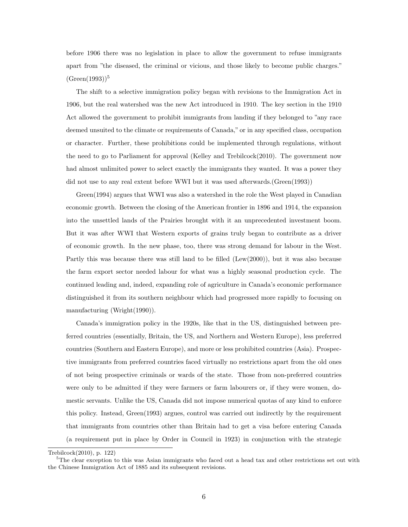before 1906 there was no legislation in place to allow the government to refuse immigrants apart from "the diseased, the criminal or vicious, and those likely to become public charges."  $(Green(1993))^{5}$ 

The shift to a selective immigration policy began with revisions to the Immigration Act in 1906, but the real watershed was the new Act introduced in 1910. The key section in the 1910 Act allowed the government to prohibit immigrants from landing if they belonged to "any race deemed unsuited to the climate or requirements of Canada," or in any specified class, occupation or character. Further, these prohibitions could be implemented through regulations, without the need to go to Parliament for approval (Kelley and Trebilcock(2010). The government now had almost unlimited power to select exactly the immigrants they wanted. It was a power they did not use to any real extent before WWI but it was used afterwards.(Green(1993))

Green(1994) argues that WWI was also a watershed in the role the West played in Canadian economic growth. Between the closing of the American frontier in 1896 and 1914, the expansion into the unsettled lands of the Prairies brought with it an unprecedented investment boom. But it was after WWI that Western exports of grains truly began to contribute as a driver of economic growth. In the new phase, too, there was strong demand for labour in the West. Partly this was because there was still land to be filled (Lew(2000)), but it was also because the farm export sector needed labour for what was a highly seasonal production cycle. The continued leading and, indeed, expanding role of agriculture in Canada's economic performance distinguished it from its southern neighbour which had progressed more rapidly to focusing on manufacturing (Wright(1990)).

Canada's immigration policy in the 1920s, like that in the US, distinguished between preferred countries (essentially, Britain, the US, and Northern and Western Europe), less preferred countries (Southern and Eastern Europe), and more or less prohibited countries (Asia). Prospective immigrants from preferred countries faced virtually no restrictions apart from the old ones of not being prospective criminals or wards of the state. Those from non-preferred countries were only to be admitted if they were farmers or farm labourers or, if they were women, domestic servants. Unlike the US, Canada did not impose numerical quotas of any kind to enforce this policy. Instead, Green(1993) argues, control was carried out indirectly by the requirement that immigrants from countries other than Britain had to get a visa before entering Canada (a requirement put in place by Order in Council in 1923) in conjunction with the strategic

Trebilcock(2010), p. 122)

<sup>5</sup>The clear exception to this was Asian immigrants who faced out a head tax and other restrictions set out with the Chinese Immigration Act of 1885 and its subsequent revisions.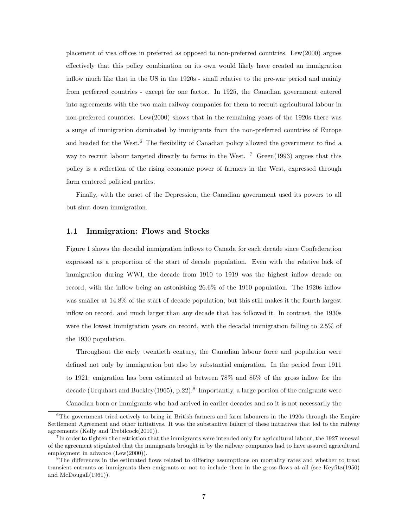placement of visa offices in preferred as opposed to non-preferred countries. Lew(2000) argues effectively that this policy combination on its own would likely have created an immigration inflow much like that in the US in the 1920s - small relative to the pre-war period and mainly from preferred countries - except for one factor. In 1925, the Canadian government entered into agreements with the two main railway companies for them to recruit agricultural labour in non-preferred countries. Lew(2000) shows that in the remaining years of the 1920s there was a surge of immigration dominated by immigrants from the non-preferred countries of Europe and headed for the West.<sup>6</sup> The flexibility of Canadian policy allowed the government to find a way to recruit labour targeted directly to farms in the West.  $\frac{7}{1}$  Green(1993) argues that this policy is a reflection of the rising economic power of farmers in the West, expressed through farm centered political parties.

Finally, with the onset of the Depression, the Canadian government used its powers to all but shut down immigration.

#### 1.1 Immigration: Flows and Stocks

Figure 1 shows the decadal immigration inflows to Canada for each decade since Confederation expressed as a proportion of the start of decade population. Even with the relative lack of immigration during WWI, the decade from 1910 to 1919 was the highest inflow decade on record, with the inflow being an astonishing 26.6% of the 1910 population. The 1920s inflow was smaller at 14.8% of the start of decade population, but this still makes it the fourth largest inflow on record, and much larger than any decade that has followed it. In contrast, the 1930s were the lowest immigration years on record, with the decadal immigration falling to 2.5% of the 1930 population.

Throughout the early twentieth century, the Canadian labour force and population were defined not only by immigration but also by substantial emigration. In the period from 1911 to 1921, emigration has been estimated at between 78% and 85% of the gross inflow for the decade (Urquhart and Buckley(1965), p.22).<sup>8</sup> Importantly, a large portion of the emigrants were Canadian born or immigrants who had arrived in earlier decades and so it is not necessarily the

 $6$ The government tried actively to bring in British farmers and farm labourers in the 1920s through the Empire Settlement Agreement and other initiatives. It was the substantive failure of these initiatives that led to the railway agreements (Kelly and Trebilcock(2010)).

<sup>&</sup>lt;sup>7</sup>In order to tighten the restriction that the immigrants were intended only for agricultural labour, the 1927 renewal of the agreement stipulated that the immigrants brought in by the railway companies had to have assured agricultural employment in advance (Lew(2000)).

<sup>&</sup>lt;sup>8</sup>The differences in the estimated flows related to differing assumptions on mortality rates and whether to treat transient entrants as immigrants then emigrants or not to include them in the gross flows at all (see Keyfitz(1950) and McDougall(1961)).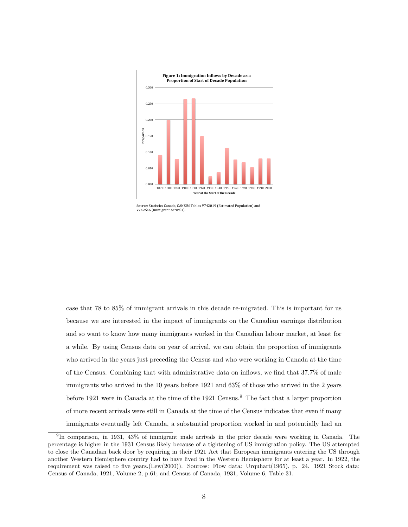

Source: Statistics Canada, CANSIM Tables V742019 (Estimated Population) and V742546 (Immigrant Arrivals).

case that 78 to 85% of immigrant arrivals in this decade re-migrated. This is important for us because we are interested in the impact of immigrants on the Canadian earnings distribution and so want to know how many immigrants worked in the Canadian labour market, at least for a while. By using Census data on year of arrival, we can obtain the proportion of immigrants who arrived in the years just preceding the Census and who were working in Canada at the time of the Census. Combining that with administrative data on inflows, we find that 37.7% of male immigrants who arrived in the 10 years before 1921 and 63% of those who arrived in the 2 years before 1921 were in Canada at the time of the 1921 Census.<sup>9</sup> The fact that a larger proportion of more recent arrivals were still in Canada at the time of the Census indicates that even if many immigrants eventually left Canada, a substantial proportion worked in and potentially had an

<sup>9</sup> In comparison, in 1931, 43% of immigrant male arrivals in the prior decade were working in Canada. The percentage is higher in the 1931 Census likely because of a tightening of US immigration policy. The US attempted to close the Canadian back door by requiring in their 1921 Act that European immigrants entering the US through another Western Hemisphere country had to have lived in the Western Hemisphere for at least a year. In 1922, the requirement was raised to five years.(Lew(2000)). Sources: Flow data: Urquhart(1965), p. 24. 1921 Stock data: Census of Canada, 1921, Volume 2, p.61; and Census of Canada, 1931, Volume 6, Table 31.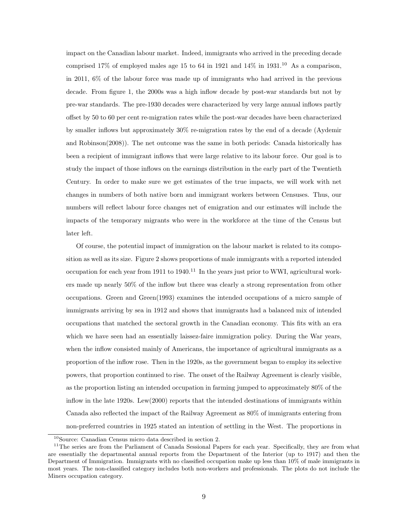impact on the Canadian labour market. Indeed, immigrants who arrived in the preceding decade comprised 17% of employed males age 15 to 64 in 1921 and  $14\%$  in 1931.<sup>10</sup> As a comparison, in 2011, 6% of the labour force was made up of immigrants who had arrived in the previous decade. From figure 1, the 2000s was a high inflow decade by post-war standards but not by pre-war standards. The pre-1930 decades were characterized by very large annual inflows partly offset by 50 to 60 per cent re-migration rates while the post-war decades have been characterized by smaller inflows but approximately 30% re-migration rates by the end of a decade (Aydemir and Robinson(2008)). The net outcome was the same in both periods: Canada historically has been a recipient of immigrant inflows that were large relative to its labour force. Our goal is to study the impact of those inflows on the earnings distribution in the early part of the Twentieth Century. In order to make sure we get estimates of the true impacts, we will work with net changes in numbers of both native born and immigrant workers between Censuses. Thus, our numbers will reflect labour force changes net of emigration and our estimates will include the impacts of the temporary migrants who were in the workforce at the time of the Census but later left.

Of course, the potential impact of immigration on the labour market is related to its composition as well as its size. Figure 2 shows proportions of male immigrants with a reported intended occupation for each year from 1911 to 1940.<sup>11</sup> In the years just prior to WWI, agricultural workers made up nearly 50% of the inflow but there was clearly a strong representation from other occupations. Green and Green(1993) examines the intended occupations of a micro sample of immigrants arriving by sea in 1912 and shows that immigrants had a balanced mix of intended occupations that matched the sectoral growth in the Canadian economy. This fits with an era which we have seen had an essentially laissez-faire immigration policy. During the War years, when the inflow consisted mainly of Americans, the importance of agricultural immigrants as a proportion of the inflow rose. Then in the 1920s, as the government began to employ its selective powers, that proportion continued to rise. The onset of the Railway Agreement is clearly visible, as the proportion listing an intended occupation in farming jumped to approximately 80% of the inflow in the late 1920s. Lew(2000) reports that the intended destinations of immigrants within Canada also reflected the impact of the Railway Agreement as 80% of immigrants entering from non-preferred countries in 1925 stated an intention of settling in the West. The proportions in

<sup>10</sup>Source: Canadian Census micro data described in section 2.

<sup>&</sup>lt;sup>11</sup>The series are from the Parliament of Canada Sessional Papers for each year. Specifically, they are from what are essentially the departmental annual reports from the Department of the Interior (up to 1917) and then the Department of Immigration. Immigrants with no classified occupation make up less than 10% of male immigrants in most years. The non-classified category includes both non-workers and professionals. The plots do not include the Miners occupation category.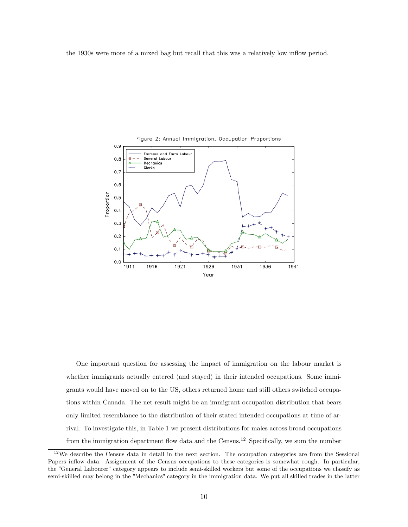the 1930s were more of a mixed bag but recall that this was a relatively low inflow period.



One important question for assessing the impact of immigration on the labour market is whether immigrants actually entered (and stayed) in their intended occupations. Some immigrants would have moved on to the US, others returned home and still others switched occupations within Canada. The net result might be an immigrant occupation distribution that bears only limited resemblance to the distribution of their stated intended occupations at time of arrival. To investigate this, in Table 1 we present distributions for males across broad occupations from the immigration department flow data and the Census.<sup>12</sup> Specifically, we sum the number

<sup>&</sup>lt;sup>12</sup>We describe the Census data in detail in the next section. The occupation categories are from the Sessional Papers inflow data. Assignment of the Census occupations to these categories is somewhat rough. In particular, the "General Labourer" category appears to include semi-skilled workers but some of the occupations we classify as semi-skiilled may belong in the "Mechanics" category in the immigration data. We put all skilled trades in the latter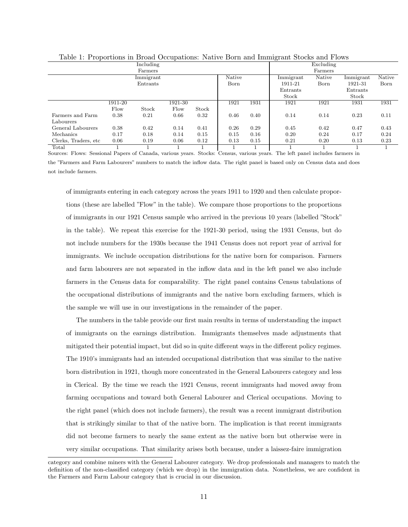| . .                  |         |           |         |       |        |      | $\tilde{}$ |           |           |        |
|----------------------|---------|-----------|---------|-------|--------|------|------------|-----------|-----------|--------|
|                      |         | Including |         |       |        |      |            | Excluding |           |        |
|                      |         | Farmers   |         |       |        |      |            | Farmers   |           |        |
|                      |         | Immigrant |         |       | Native |      | Immigrant  | Native    | Immigrant | Native |
|                      |         | Entrants  |         |       | Born   |      | 1911-21    | Born      | 1921-31   | Born   |
|                      |         |           |         |       |        |      | Entrants   |           | Entrants  |        |
|                      |         |           |         |       |        |      | Stock      |           | Stock     |        |
|                      | 1911-20 |           | 1921-30 |       | 1921   | 1931 | 1921       | 1921      | 1931      | 1931   |
|                      | Flow    | Stock     | Flow    | Stock |        |      |            |           |           |        |
| Farmers and Farm     | 0.38    | 0.21      | 0.66    | 0.32  | 0.46   | 0.40 | 0.14       | 0.14      | 0.23      | 0.11   |
| Labourers            |         |           |         |       |        |      |            |           |           |        |
| General Labourers    | 0.38    | 0.42      | 0.14    | 0.41  | 0.26   | 0.29 | 0.45       | 0.42      | 0.47      | 0.43   |
| Mechanics            | 0.17    | 0.18      | 0.14    | 0.15  | 0.15   | 0.16 | 0.20       | 0.24      | 0.17      | 0.24   |
| Clerks, Traders, etc | 0.06    | 0.19      | 0.06    | 0.12  | 0.13   | 0.15 | 0.21       | 0.20      | 0.13      | 0.23   |
| Total                |         |           |         |       |        |      |            |           |           |        |

Table 1: Proportions in Broad Occupations: Native Born and Immigrant Stocks and Flows

Sources: Flows: Sessional Papers of Canada, various years. Stocks: Census, various years. The left panel includes farmers in the "Farmers and Farm Labourers" numbers to match the inflow data. The right panel is based only on Census data and does not include farmers.

of immigrants entering in each category across the years 1911 to 1920 and then calculate proportions (these are labelled "Flow" in the table). We compare those proportions to the proportions of immigrants in our 1921 Census sample who arrived in the previous 10 years (labelled "Stock" in the table). We repeat this exercise for the 1921-30 period, using the 1931 Census, but do not include numbers for the 1930s because the 1941 Census does not report year of arrival for immigrants. We include occupation distributions for the native born for comparison. Farmers and farm labourers are not separated in the inflow data and in the left panel we also include farmers in the Census data for comparability. The right panel contains Census tabulations of the occupational distributions of immigrants and the native born excluding farmers, which is the sample we will use in our investigations in the remainder of the paper.

The numbers in the table provide our first main results in terms of understanding the impact of immigrants on the earnings distribution. Immigrants themselves made adjustments that mitigated their potential impact, but did so in quite different ways in the different policy regimes. The 1910's immigrants had an intended occupational distribution that was similar to the native born distribution in 1921, though more concentrated in the General Labourers category and less in Clerical. By the time we reach the 1921 Census, recent immigrants had moved away from farming occupations and toward both General Labourer and Clerical occupations. Moving to the right panel (which does not include farmers), the result was a recent immigrant distribution that is strikingly similar to that of the native born. The implication is that recent immigrants did not become farmers to nearly the same extent as the native born but otherwise were in very similar occupations. That similarity arises both because, under a laissez-faire immigration

category and combine miners with the General Labourer category. We drop professionals and managers to match the definition of the non-classified category (which we drop) in the immigration data. Nonetheless, we are confident in the Farmers and Farm Labour category that is crucial in our discussion.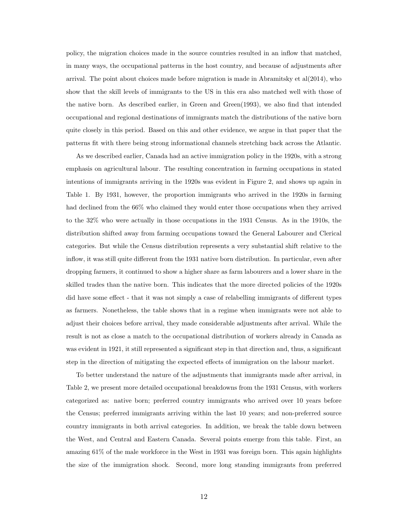policy, the migration choices made in the source countries resulted in an inflow that matched, in many ways, the occupational patterns in the host country, and because of adjustments after arrival. The point about choices made before migration is made in Abramitsky et al(2014), who show that the skill levels of immigrants to the US in this era also matched well with those of the native born. As described earlier, in Green and Green(1993), we also find that intended occupational and regional destinations of immigrants match the distributions of the native born quite closely in this period. Based on this and other evidence, we argue in that paper that the patterns fit with there being strong informational channels stretching back across the Atlantic.

As we described earlier, Canada had an active immigration policy in the 1920s, with a strong emphasis on agricultural labour. The resulting concentration in farming occupations in stated intentions of immigrants arriving in the 1920s was evident in Figure 2, and shows up again in Table 1. By 1931, however, the proportion immigrants who arrived in the 1920s in farming had declined from the 66% who claimed they would enter those occupations when they arrived to the 32% who were actually in those occupations in the 1931 Census. As in the 1910s, the distribution shifted away from farming occupations toward the General Labourer and Clerical categories. But while the Census distribution represents a very substantial shift relative to the inflow, it was still quite different from the 1931 native born distribution. In particular, even after dropping farmers, it continued to show a higher share as farm labourers and a lower share in the skilled trades than the native born. This indicates that the more directed policies of the 1920s did have some effect - that it was not simply a case of relabelling immigrants of different types as farmers. Nonetheless, the table shows that in a regime when immigrants were not able to adjust their choices before arrival, they made considerable adjustments after arrival. While the result is not as close a match to the occupational distribution of workers already in Canada as was evident in 1921, it still represented a significant step in that direction and, thus, a significant step in the direction of mitigating the expected effects of immigration on the labour market.

To better understand the nature of the adjustments that immigrants made after arrival, in Table 2, we present more detailed occupational breakdowns from the 1931 Census, with workers categorized as: native born; preferred country immigrants who arrived over 10 years before the Census; preferred immigrants arriving within the last 10 years; and non-preferred source country immigrants in both arrival categories. In addition, we break the table down between the West, and Central and Eastern Canada. Several points emerge from this table. First, an amazing 61% of the male workforce in the West in 1931 was foreign born. This again highlights the size of the immigration shock. Second, more long standing immigrants from preferred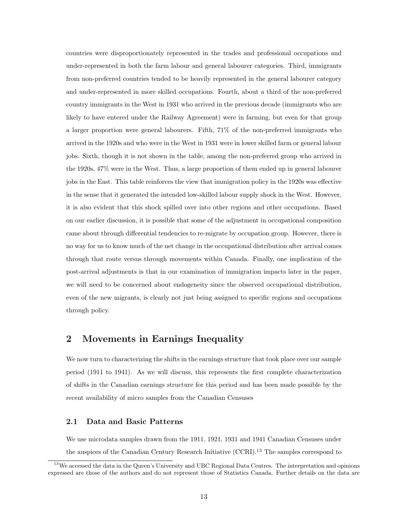countries were disproportionately represented in the trades and professional occupations and under-represented in both the farm labour and general labourer categories. Third, immigrants from non-preferred countries tended to be heavily represented in the general labourer category and under-represented in more skilled occupations. Fourth, about a third of the non-preferred country immigrants in the West in 1931 who arrived in the previous decade (immigrants who are likely to have entered under the Railway Agreement) were in farming, but even for that group a larger proportion were general labourers. Fifth, 71% of the non-preferred immigrants who arrived in the 1920s and who were in the West in 1931 were in lower skilled farm or general labour jobs. Sixth, though it is not shown in the table, among the non-preferred group who arrived in the 1920s, 47% were in the West. Thus, a large proportion of them ended up in general labourer jobs in the East. This table reinforces the view that immigration policy in the 1920s was effective in the sense that it generated the intended low-skilled labour supply shock in the West. However, it is also evident that this shock spilled over into other regions and other occupations. Based on our earlier discussion, it is possible that some of the adjustment in occupational composition came about through differential tendencies to re-migrate by occupation group. However, there is no way for us to know much of the net change in the occupational distribution after arrival comes through that route versus through movements within Canada. Finally, one implication of the post-arrival adjustments is that in our examination of immigration impacts later in the paper, we will need to be concerned about endogeneity since the observed occupational distribution, even of the new migrants, is clearly not just being assigned to specific regions and occupations through policy.

## 2 Movements in Earnings Inequality

We now turn to characterizing the shifts in the earnings structure that took place over our sample period (1911 to 1941). As we will discuss, this represents the first complete characterization of shifts in the Canadian earnings structure for this period and has been made possible by the recent availability of micro samples from the Canadian Censuses

#### 2.1 Data and Basic Patterns

We use microdata samples drawn from the 1911, 1921, 1931 and 1941 Canadian Censuses under the auspices of the Canadian Century Research Initiative (CCRI).<sup>13</sup> The samples correspond to

<sup>&</sup>lt;sup>13</sup>We accessed the data in the Queen's University and UBC Regional Data Centres. The interpretation and opinions expressed are those of the authors and do not represent those of Statistics Canada. Further details on the data are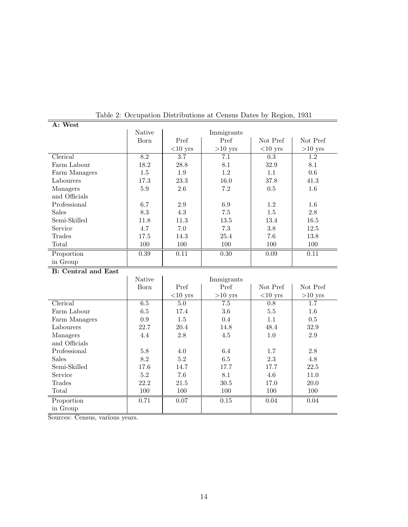|               | . <b>.</b>    |            |            | - 0        |           |  |
|---------------|---------------|------------|------------|------------|-----------|--|
| A: West       |               |            |            |            |           |  |
|               | <b>Native</b> |            | Immigrants |            |           |  |
|               | Born          | Pref       | Pref       | Not Pref   | Not Pref  |  |
|               |               | $<$ 10 yrs | $>10$ yrs  | $<$ 10 yrs | $>10$ yrs |  |
| Clerical      | 8.2           | 3.7        | 7.1        | 0.3        | 1.2       |  |
| Farm Labour   | 18.2          | 28.8       | 8.1        | 32.9       | 8.1       |  |
| Farm Managers | 1.5           | 1.9        | 1.2        | 1.1        | 0.6       |  |
| Labourers     | 17.3          | 23.3       | 16.0       | 37.8       | 41.3      |  |
| Managers      | 5.9           | 2.6        | 7.2        | 0.5        | $1.6\,$   |  |
| and Officials |               |            |            |            |           |  |
| Professional  | 6.7           | 2.9        | 6.9        | 1.2        | 1.6       |  |
| <b>Sales</b>  | 8.3           | 4.3        | 7.5        | 1.5        | 2.8       |  |
| Semi-Skilled  | 11.8          | 11.3       | 13.5       | 13.4       | 16.5      |  |
| Service       | 4.7           | 7.0        | 7.3        | 3.8        | 12.5      |  |
| Trades        | 17.5          | 14.3       | 25.4       | 7.6        | 13.8      |  |
| Total         | 100           | 100        | 100        | 100        | 100       |  |
| Proportion    | 0.39          | 0.11       | 0.30       | 0.09       | 0.11      |  |
| in Group      |               |            |            |            |           |  |

Table 2: Occupation Distributions at Census Dates by Region, 1931

B: Central and East

|               | Native  |            | Immigrants |            |           |
|---------------|---------|------------|------------|------------|-----------|
|               | Born    | Pref       | Pref       | Not Pref   | Not Pref  |
|               |         | $<$ 10 yrs | $>10$ yrs  | $<$ 10 yrs | $>10$ yrs |
| Clerical      | $6.5\,$ | 5.0        | 7.5        | 0.8        | 1.7       |
| Farm Labour   | 6.5     | 17.4       | 3.6        | $5.5\,$    | 1.6       |
| Farm Managers | 0.9     | 1.5        | 0.4        | 1.1        | 0.5       |
| Labourers     | 22.7    | 20.4       | 14.8       | 48.4       | 32.9      |
| Managers      | 4.4     | 2.8        | $4.5\,$    | 1.0        | 2.9       |
| and Officials |         |            |            |            |           |
| Professional  | 5.8     | 4.0        | 6.4        | 1.7        | 2.8       |
| <b>Sales</b>  | 8.2     | 5.2        | 6.5        | 2.3        | 4.8       |
| Semi-Skilled  | 17.6    | 14.7       | 17.7       | 17.7       | 22.5      |
| Service       | 5.2     | 7.6        | 8.1        | 4.6        | 11.0      |
| Trades        | 22.2    | 21.5       | 30.5       | 17.0       | 20.0      |
| Total         | 100     | 100        | 100        | 100        | 100       |
| Proportion    | 0.71    | 0.07       | $0.15\,$   | 0.04       | 0.04      |
| in Group      |         |            |            |            |           |

Sources: Census, various years.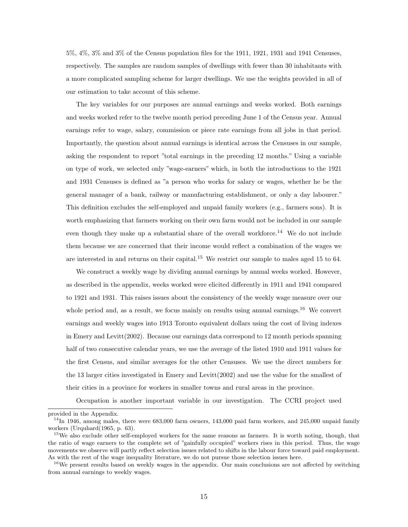5%, 4%, 3% and 3% of the Census population files for the 1911, 1921, 1931 and 1941 Censuses, respectively. The samples are random samples of dwellings with fewer than 30 inhabitants with a more complicated sampling scheme for larger dwellings. We use the weights provided in all of our estimation to take account of this scheme.

The key variables for our purposes are annual earnings and weeks worked. Both earnings and weeks worked refer to the twelve month period preceding June 1 of the Census year. Annual earnings refer to wage, salary, commission or piece rate earnings from all jobs in that period. Importantly, the question about annual earnings is identical across the Censuses in our sample, asking the respondent to report "total earnings in the preceding 12 months." Using a variable on type of work, we selected only "wage-earners" which, in both the introductions to the 1921 and 1931 Censuses is defined as "a person who works for salary or wages, whether he be the general manager of a bank, railway or manufacturing establishment, or only a day labourer." This definition excludes the self-employed and unpaid family workers (e.g., farmers sons). It is worth emphasizing that farmers working on their own farm would not be included in our sample even though they make up a substantial share of the overall workforce.<sup>14</sup> We do not include them because we are concerned that their income would reflect a combination of the wages we are interested in and returns on their capital.<sup>15</sup> We restrict our sample to males aged 15 to 64.

We construct a weekly wage by dividing annual earnings by annual weeks worked. However, as described in the appendix, weeks worked were elicited differently in 1911 and 1941 compared to 1921 and 1931. This raises issues about the consistency of the weekly wage measure over our whole period and, as a result, we focus mainly on results using annual earnings.<sup>16</sup> We convert earnings and weekly wages into 1913 Toronto equivalent dollars using the cost of living indexes in Emery and Levitt(2002). Because our earnings data correspond to 12 month periods spanning half of two consecutive calendar years, we use the average of the listed 1910 and 1911 values for the first Census, and similar averages for the other Censuses. We use the direct numbers for the 13 larger cities investigated in Emery and Levitt(2002) and use the value for the smallest of their cities in a province for workers in smaller towns and rural areas in the province.

Occupation is another important variable in our investigation. The CCRI project used

provided in the Appendix.

 $14$ In 1946, among males, there were 683,000 farm owners, 143,000 paid farm workers, and 245,000 unpaid family workers (Urquhard(1965, p. 63).

<sup>&</sup>lt;sup>15</sup>We also exclude other self-employed workers for the same reasons as farmers. It is worth noting, though, that the ratio of wage earners to the complete set of "gainfully occupied" workers rises in this period. Thus, the wage movements we observe will partly reflect selection issues related to shifts in the labour force toward paid employment. As with the rest of the wage inequality literature, we do not pursue those selection issues here.

<sup>&</sup>lt;sup>16</sup>We present results based on weekly wages in the appendix. Our main conclusions are not affected by switching from annual earnings to weekly wages.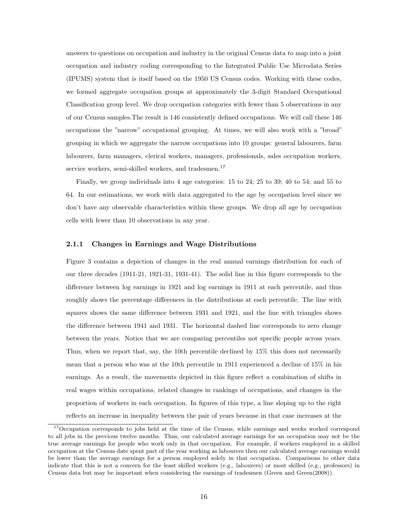answers to questions on occupation and industry in the original Census data to map into a joint occupation and industry coding corresponding to the Integrated Public Use Microdata Series (IPUMS) system that is itself based on the 1950 US Census codes. Working with these codes, we formed aggregate occupation groups at approximately the 3-digit Standard Occupational Classification group level. We drop occupation categories with fewer than 5 observations in any of our Census samples.The result is 146 consistently defined occupations. We will call these 146 occupations the "narrow" occupational grouping. At times, we will also work with a "broad" grouping in which we aggregate the narrow occupations into 10 groups: general labourers, farm labourers, farm managers, clerical workers, managers, professionals, sales occupation workers, service workers, semi-skilled workers, and tradesmen.<sup>17</sup>

Finally, we group individuals into 4 age categories: 15 to 24; 25 to 39; 40 to 54; and 55 to 64. In our estimations, we work with data aggregated to the age by occupation level since we don't have any observable characteristics within these groups. We drop all age by occupation cells with fewer than 10 observations in any year.

#### 2.1.1 Changes in Earnings and Wage Distributions

Figure 3 contains a depiction of changes in the real annual earnings distribution for each of our three decades (1911-21, 1921-31, 1931-41). The solid line in this figure corresponds to the difference between log earnings in 1921 and log earnings in 1911 at each percentile, and thus roughly shows the percentage differences in the distributions at each percentile. The line with squares shows the same difference between 1931 and 1921, and the line with triangles shows the difference between 1941 and 1931. The horizontal dashed line corresponds to zero change between the years. Notice that we are comparing percentiles not specific people across years. Thus, when we report that, say, the 10th percentile declined by 15% this does not necessarily mean that a person who was at the 10th percentile in 1911 experienced a decline of 15% in his earnings. As a result, the movements depicted in this figure reflect a combination of shifts in real wages within occupations, related changes in rankings of occupations, and changes in the proportion of workers in each occupation. In figures of this type, a line sloping up to the right reflects an increase in inequality between the pair of years because in that case increases at the

<sup>&</sup>lt;sup>17</sup>Occupation corresponds to jobs held at the time of the Census, while earnings and weeks worked correspond to all jobs in the previous twelve months. Thus, our calculated average earnings for an occupation may not be the true average earnings for people who work only in that occupation. For example, if workers employed in a skilled occupation at the Census date spent part of the year working as labourers then our calculated average earnings would be lower than the average earnings for a person employed solely in that occupation. Comparisons to other data indicate that this is not a concern for the least skilled workers (e.g., labourers) or most skilled (e.g., professors) in Census data but may be important when considering the earnings of tradesmen (Green and Green(2008)).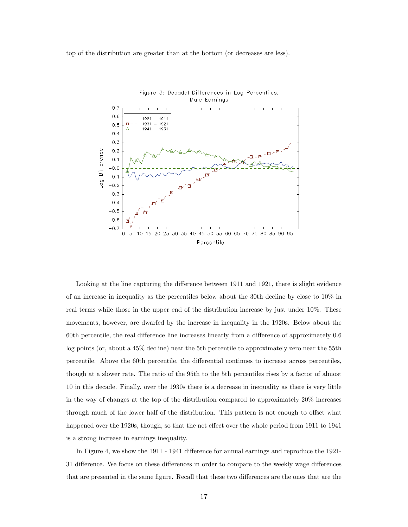top of the distribution are greater than at the bottom (or decreases are less).



Looking at the line capturing the difference between 1911 and 1921, there is slight evidence of an increase in inequality as the percentiles below about the 30th decline by close to 10% in real terms while those in the upper end of the distribution increase by just under 10%. These movements, however, are dwarfed by the increase in inequality in the 1920s. Below about the 60th percentile, the real difference line increases linearly from a difference of approximately 0.6 log points (or, about a 45% decline) near the 5th percentile to approximately zero near the 55th percentile. Above the 60th percentile, the differential continues to increase across percentiles, though at a slower rate. The ratio of the 95th to the 5th percentiles rises by a factor of almost 10 in this decade. Finally, over the 1930s there is a decrease in inequality as there is very little in the way of changes at the top of the distribution compared to approximately 20% increases through much of the lower half of the distribution. This pattern is not enough to offset what happened over the 1920s, though, so that the net effect over the whole period from 1911 to 1941 is a strong increase in earnings inequality.

In Figure 4, we show the 1911 - 1941 difference for annual earnings and reproduce the 1921- 31 difference. We focus on these differences in order to compare to the weekly wage differences that are presented in the same figure. Recall that these two differences are the ones that are the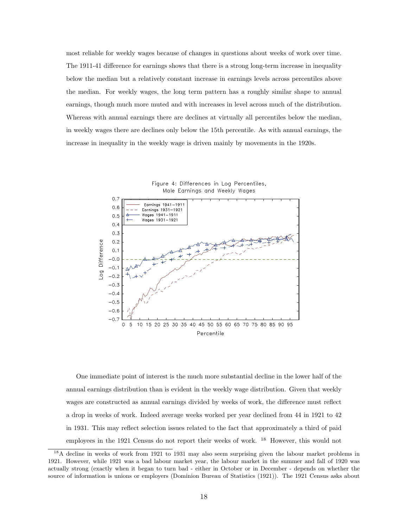most reliable for weekly wages because of changes in questions about weeks of work over time. The 1911-41 difference for earnings shows that there is a strong long-term increase in inequality below the median but a relatively constant increase in earnings levels across percentiles above the median. For weekly wages, the long term pattern has a roughly similar shape to annual earnings, though much more muted and with increases in level across much of the distribution. Whereas with annual earnings there are declines at virtually all percentiles below the median, in weekly wages there are declines only below the 15th percentile. As with annual earnings, the increase in inequality in the weekly wage is driven mainly by movements in the 1920s.



One immediate point of interest is the much more substantial decline in the lower half of the annual earnings distribution than is evident in the weekly wage distribution. Given that weekly wages are constructed as annual earnings divided by weeks of work, the difference must reflect a drop in weeks of work. Indeed average weeks worked per year declined from 44 in 1921 to 42 in 1931. This may reflect selection issues related to the fact that approximately a third of paid employees in the 1921 Census do not report their weeks of work. <sup>18</sup> However, this would not

<sup>&</sup>lt;sup>18</sup>A decline in weeks of work from 1921 to 1931 may also seem surprising given the labour market problems in 1921. However, while 1921 was a bad labour market year, the labour market in the summer and fall of 1920 was actually strong (exactly when it began to turn bad - either in October or in December - depends on whether the source of information is unions or employers (Dominion Bureau of Statistics (1921)). The 1921 Census asks about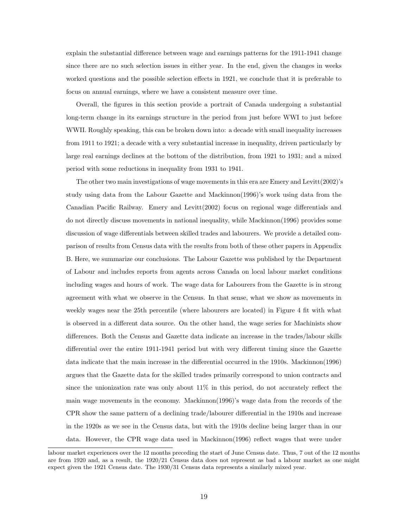explain the substantial difference between wage and earnings patterns for the 1911-1941 change since there are no such selection issues in either year. In the end, given the changes in weeks worked questions and the possible selection effects in 1921, we conclude that it is preferable to focus on annual earnings, where we have a consistent measure over time.

Overall, the figures in this section provide a portrait of Canada undergoing a substantial long-term change in its earnings structure in the period from just before WWI to just before WWII. Roughly speaking, this can be broken down into: a decade with small inequality increases from 1911 to 1921; a decade with a very substantial increase in inequality, driven particularly by large real earnings declines at the bottom of the distribution, from 1921 to 1931; and a mixed period with some reductions in inequality from 1931 to 1941.

The other two main investigations of wage movements in this era are Emery and Levitt(2002)'s study using data from the Labour Gazette and Mackinnon(1996)'s work using data from the Canadian Pacific Railway. Emery and Levitt(2002) focus on regional wage differentials and do not directly discuss movements in national inequality, while Mackinnon(1996) provides some discussion of wage differentials between skilled trades and labourers. We provide a detailed comparison of results from Census data with the results from both of these other papers in Appendix B. Here, we summarize our conclusions. The Labour Gazette was published by the Department of Labour and includes reports from agents across Canada on local labour market conditions including wages and hours of work. The wage data for Labourers from the Gazette is in strong agreement with what we observe in the Census. In that sense, what we show as movements in weekly wages near the 25th percentile (where labourers are located) in Figure 4 fit with what is observed in a different data source. On the other hand, the wage series for Machinists show differences. Both the Census and Gazette data indicate an increase in the trades/labour skills differential over the entire 1911-1941 period but with very different timing since the Gazette data indicate that the main increase in the differential occurred in the 1910s. Mackinnon(1996) argues that the Gazette data for the skilled trades primarily correspond to union contracts and since the unionization rate was only about 11% in this period, do not accurately reflect the main wage movements in the economy. Mackinnon(1996)'s wage data from the records of the CPR show the same pattern of a declining trade/labourer differential in the 1910s and increase in the 1920s as we see in the Census data, but with the 1910s decline being larger than in our data. However, the CPR wage data used in Mackinnon(1996) reflect wages that were under

labour market experiences over the 12 months preceding the start of June Census date. Thus, 7 out of the 12 months are from 1920 and, as a result, the 1920/21 Census data does not represent as bad a labour market as one might expect given the 1921 Census date. The 1930/31 Census data represents a similarly mixed year.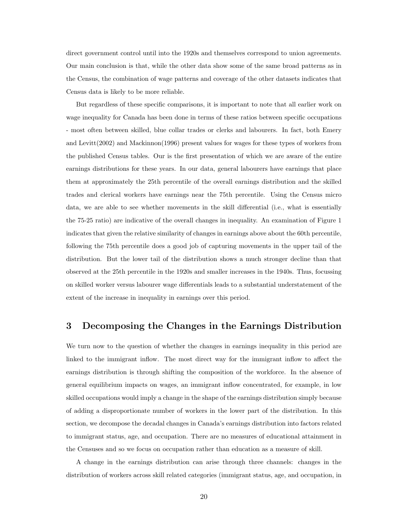direct government control until into the 1920s and themselves correspond to union agreements. Our main conclusion is that, while the other data show some of the same broad patterns as in the Census, the combination of wage patterns and coverage of the other datasets indicates that Census data is likely to be more reliable.

But regardless of these specific comparisons, it is important to note that all earlier work on wage inequality for Canada has been done in terms of these ratios between specific occupations - most often between skilled, blue collar trades or clerks and labourers. In fact, both Emery and Levitt(2002) and Mackinnon(1996) present values for wages for these types of workers from the published Census tables. Our is the first presentation of which we are aware of the entire earnings distributions for these years. In our data, general labourers have earnings that place them at approximately the 25th percentile of the overall earnings distribution and the skilled trades and clerical workers have earnings near the 75th percentile. Using the Census micro data, we are able to see whether movements in the skill differential (i.e., what is essentially the 75-25 ratio) are indicative of the overall changes in inequality. An examination of Figure 1 indicates that given the relative similarity of changes in earnings above about the 60th percentile, following the 75th percentile does a good job of capturing movements in the upper tail of the distribution. But the lower tail of the distribution shows a much stronger decline than that observed at the 25th percentile in the 1920s and smaller increases in the 1940s. Thus, focussing on skilled worker versus labourer wage differentials leads to a substantial understatement of the extent of the increase in inequality in earnings over this period.

## 3 Decomposing the Changes in the Earnings Distribution

We turn now to the question of whether the changes in earnings inequality in this period are linked to the immigrant inflow. The most direct way for the immigrant inflow to affect the earnings distribution is through shifting the composition of the workforce. In the absence of general equilibrium impacts on wages, an immigrant inflow concentrated, for example, in low skilled occupations would imply a change in the shape of the earnings distribution simply because of adding a disproportionate number of workers in the lower part of the distribution. In this section, we decompose the decadal changes in Canada's earnings distribution into factors related to immigrant status, age, and occupation. There are no measures of educational attainment in the Censuses and so we focus on occupation rather than education as a measure of skill.

A change in the earnings distribution can arise through three channels: changes in the distribution of workers across skill related categories (immigrant status, age, and occupation, in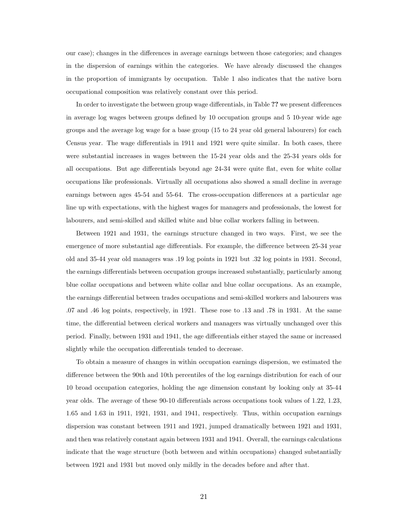our case); changes in the differences in average earnings between those categories; and changes in the dispersion of earnings within the categories. We have already discussed the changes in the proportion of immigrants by occupation. Table 1 also indicates that the native born occupational composition was relatively constant over this period.

In order to investigate the between group wage differentials, in Table ?? we present differences in average log wages between groups defined by 10 occupation groups and 5 10-year wide age groups and the average log wage for a base group (15 to 24 year old general labourers) for each Census year. The wage differentials in 1911 and 1921 were quite similar. In both cases, there were substantial increases in wages between the 15-24 year olds and the 25-34 years olds for all occupations. But age differentials beyond age 24-34 were quite flat, even for white collar occupations like professionals. Virtually all occupations also showed a small decline in average earnings between ages 45-54 and 55-64. The cross-occupation differences at a particular age line up with expectations, with the highest wages for managers and professionals, the lowest for labourers, and semi-skilled and skilled white and blue collar workers falling in between.

Between 1921 and 1931, the earnings structure changed in two ways. First, we see the emergence of more substantial age differentials. For example, the difference between 25-34 year old and 35-44 year old managers was .19 log points in 1921 but .32 log points in 1931. Second, the earnings differentials between occupation groups increased substantially, particularly among blue collar occupations and between white collar and blue collar occupations. As an example, the earnings differential between trades occupations and semi-skilled workers and labourers was .07 and .46 log points, respectively, in 1921. These rose to .13 and .78 in 1931. At the same time, the differential between clerical workers and managers was virtually unchanged over this period. Finally, between 1931 and 1941, the age differentials either stayed the same or increased slightly while the occupation differentials tended to decrease.

To obtain a measure of changes in within occupation earnings dispersion, we estimated the difference between the 90th and 10th percentiles of the log earnings distribution for each of our 10 broad occupation categories, holding the age dimension constant by looking only at 35-44 year olds. The average of these 90-10 differentials across occupations took values of 1.22, 1.23, 1.65 and 1.63 in 1911, 1921, 1931, and 1941, respectively. Thus, within occupation earnings dispersion was constant between 1911 and 1921, jumped dramatically between 1921 and 1931, and then was relatively constant again between 1931 and 1941. Overall, the earnings calculations indicate that the wage structure (both between and within occupations) changed substantially between 1921 and 1931 but moved only mildly in the decades before and after that.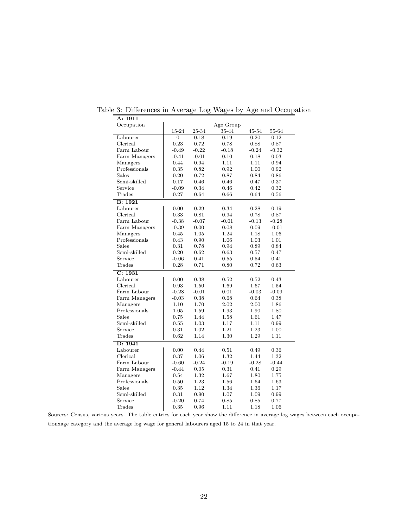| Occupation                                                            |                                    |                                         | Age Group                       |                                 |                                 |
|-----------------------------------------------------------------------|------------------------------------|-----------------------------------------|---------------------------------|---------------------------------|---------------------------------|
|                                                                       | 15-24                              | 25-34                                   | 35-44                           | 45-54                           | 55-64                           |
| Labourer                                                              | $\Omega$                           | 0.18                                    | 0.19                            | 0.20                            | 0.12                            |
| Clerical                                                              | 0.23                               | 0.72                                    | 0.78                            | 0.88                            | 0.87                            |
| Farm Labour                                                           | $-0.49$                            | $-0.22$                                 | $-0.18$                         | $-0.24$                         | $-0.32$                         |
| Farm Managers                                                         | $-0.41$                            | $-0.01$                                 | 0.10                            | 0.18                            | 0.03                            |
| Managers                                                              | 0.44                               | 0.94                                    | 1.11                            | 1.11                            | 0.94                            |
| Professionals                                                         | 0.35                               | 0.82                                    | 0.92                            | 1.00                            | 0.92                            |
| Sales                                                                 | 0.20                               | 0.72                                    | 0.87                            | 0.84                            | 0.86                            |
| Semi-skilled                                                          | 0.17                               | 0.46                                    | 0.46                            | 0.47                            | 0.37                            |
| Service                                                               | $-0.09$                            | 0.34                                    | 0.46                            | 0.42                            | 0.32                            |
| Trades                                                                | 0.27                               | 0.64                                    | 0.66                            | 0.64                            | 0.56                            |
| B: 1921                                                               |                                    |                                         |                                 |                                 |                                 |
| Labourer                                                              | 0.00                               | 0.29                                    | 0.34                            | 0.28                            | 0.19                            |
| Clerical                                                              | 0.33                               | 0.81                                    | 0.94                            | 0.78                            | 0.87                            |
| Farm Labour                                                           | $-0.38$                            | $-0.07$                                 | $-0.01$                         | $-0.13$                         | $-0.28$                         |
| Farm Managers                                                         | $-0.39$                            | 0.00                                    | 0.08                            | 0.09                            | $-0.01$                         |
| Managers                                                              | 0.45                               | 1.05                                    | 1.24                            | 1.18                            | 1.06                            |
| Professionals                                                         | 0.43                               | 0.90                                    | 1.06                            | 1.03                            | 1.01                            |
| <b>Sales</b>                                                          | 0.31                               | 0.78                                    | 0.94                            | 0.89                            | 0.84                            |
| Semi-skilled                                                          | 0.20                               | 0.62                                    | 0.63                            | 0.57                            | 0.47                            |
| Service                                                               | $-0.06$                            | 0.41                                    | 0.55                            | 0.54                            | 0.41                            |
| Trades                                                                | 0.28                               | 0.71                                    | 0.80                            | 0.72                            | 0.63                            |
| C: 1931                                                               |                                    |                                         |                                 |                                 |                                 |
| Labourer                                                              | 0.00                               | 0.38                                    | 0.52                            | 0.52                            | 0.43                            |
| Clerical                                                              | 0.93                               | 1.50                                    | 1.69                            | 1.67                            | 1.54                            |
| Farm Labour                                                           | $-0.28$                            | $-0.01$                                 | 0.01                            | $-0.03$                         | $-0.09$                         |
| Farm Managers                                                         | $-0.03$                            | 0.38                                    | 0.68                            | 0.64                            | 0.38                            |
| Managers                                                              | 1.10                               | 1.70                                    | 2.02                            | 2.00                            | 1.86                            |
| Professionals                                                         | 1.05                               | 1.59                                    | 1.93                            | 1.90                            | 1.80                            |
| <b>Sales</b>                                                          | 0.75                               | 1.44                                    | 1.58                            | 1.61                            | 1.47                            |
| Semi-skilled                                                          | 0.55                               | 1.03                                    | 1.17                            | 1.11                            | 0.99                            |
| Service                                                               | 0.31                               | 1.02                                    | 1.21                            | 1.23                            | 1.00                            |
| Trades                                                                | 0.62                               | 1.14                                    | 1.30                            | 1.29                            | 1.11                            |
| D: 1941                                                               |                                    |                                         |                                 |                                 |                                 |
| Labourer                                                              | 0.00                               | 0.44                                    | 0.51                            | 0.49                            | 0.36                            |
|                                                                       |                                    |                                         |                                 |                                 |                                 |
|                                                                       |                                    |                                         |                                 |                                 |                                 |
|                                                                       |                                    |                                         |                                 |                                 |                                 |
|                                                                       | 0.54                               |                                         | 1.67                            | 1.80                            | 1.75                            |
|                                                                       |                                    |                                         |                                 |                                 |                                 |
| <b>Sales</b>                                                          | 0.35                               | 1.12                                    | 1.34                            | 1.36                            | 1.17                            |
| Semi-skilled                                                          | 0.31                               | 0.90                                    | 1.07                            | 1.09                            | 0.99                            |
| Service                                                               | $-0.20$                            | 0.74                                    | 0.85                            | 0.85                            | 0.77                            |
| Trades                                                                | 0.35                               | 0.96                                    | 1.11                            | 1.18                            | 1.06                            |
| Clerical<br>Farm Labour<br>Farm Managers<br>Managers<br>Professionals | 0.37<br>$-0.60$<br>$-0.44$<br>0.50 | 1.06<br>$-0.24$<br>0.05<br>1.32<br>1.23 | 1.32<br>$-0.19$<br>0.31<br>1.56 | 1.44<br>$-0.28$<br>0.41<br>1.64 | 1.32<br>$-0.44$<br>0.29<br>1.63 |

Table 3: Differences in Average Log Wages by Age and Occupation

A: 1911

Sources: Census, various years. The table entries for each year show the difference in average log wages between each occupationxage category and the average log wage for general labourers aged 15 to 24 in that year.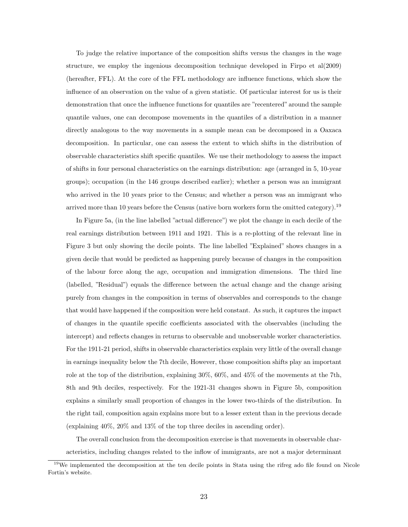To judge the relative importance of the composition shifts versus the changes in the wage structure, we employ the ingenious decomposition technique developed in Firpo et al $(2009)$ (hereafter, FFL). At the core of the FFL methodology are influence functions, which show the influence of an observation on the value of a given statistic. Of particular interest for us is their demonstration that once the influence functions for quantiles are "recentered" around the sample quantile values, one can decompose movements in the quantiles of a distribution in a manner directly analogous to the way movements in a sample mean can be decomposed in a Oaxaca decomposition. In particular, one can assess the extent to which shifts in the distribution of observable characteristics shift specific quantiles. We use their methodology to assess the impact of shifts in four personal characteristics on the earnings distribution: age (arranged in 5, 10-year groups); occupation (in the 146 groups described earlier); whether a person was an immigrant who arrived in the 10 years prior to the Census; and whether a person was an immigrant who arrived more than 10 years before the Census (native born workers form the omitted category).<sup>19</sup>

In Figure 5a, (in the line labelled "actual difference") we plot the change in each decile of the real earnings distribution between 1911 and 1921. This is a re-plotting of the relevant line in Figure 3 but only showing the decile points. The line labelled "Explained" shows changes in a given decile that would be predicted as happening purely because of changes in the composition of the labour force along the age, occupation and immigration dimensions. The third line (labelled, "Residual") equals the difference between the actual change and the change arising purely from changes in the composition in terms of observables and corresponds to the change that would have happened if the composition were held constant. As such, it captures the impact of changes in the quantile specific coefficients associated with the observables (including the intercept) and reflects changes in returns to observable and unobservable worker characteristics. For the 1911-21 period, shifts in observable characteristics explain very little of the overall change in earnings inequality below the 7th decile, However, those composition shifts play an important role at the top of the distribution, explaining 30%, 60%, and 45% of the movements at the 7th, 8th and 9th deciles, respectively. For the 1921-31 changes shown in Figure 5b, composition explains a similarly small proportion of changes in the lower two-thirds of the distribution. In the right tail, composition again explains more but to a lesser extent than in the previous decade (explaining 40%, 20% and 13% of the top three deciles in ascending order).

The overall conclusion from the decomposition exercise is that movements in observable characteristics, including changes related to the inflow of immigrants, are not a major determinant

<sup>&</sup>lt;sup>19</sup>We implemented the decomposition at the ten decile points in Stata using the rifreg ado file found on Nicole Fortin's website.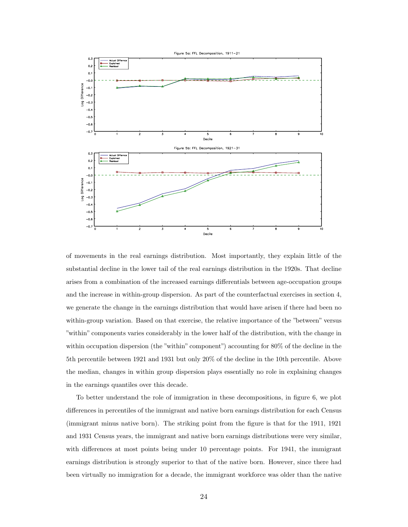

of movements in the real earnings distribution. Most importantly, they explain little of the substantial decline in the lower tail of the real earnings distribution in the 1920s. That decline arises from a combination of the increased earnings differentials between age-occupation groups and the increase in within-group dispersion. As part of the counterfactual exercises in section 4, we generate the change in the earnings distribution that would have arisen if there had been no within-group variation. Based on that exercise, the relative importance of the "between" versus "within" components varies considerably in the lower half of the distribution, with the change in within occupation dispersion (the "within" component") accounting for 80% of the decline in the 5th percentile between 1921 and 1931 but only 20% of the decline in the 10th percentile. Above the median, changes in within group dispersion plays essentially no role in explaining changes in the earnings quantiles over this decade.

To better understand the role of immigration in these decompositions, in figure 6, we plot differences in percentiles of the immigrant and native born earnings distribution for each Census (immigrant minus native born). The striking point from the figure is that for the 1911, 1921 and 1931 Census years, the immigrant and native born earnings distributions were very similar, with differences at most points being under 10 percentage points. For 1941, the immigrant earnings distribution is strongly superior to that of the native born. However, since there had been virtually no immigration for a decade, the immigrant workforce was older than the native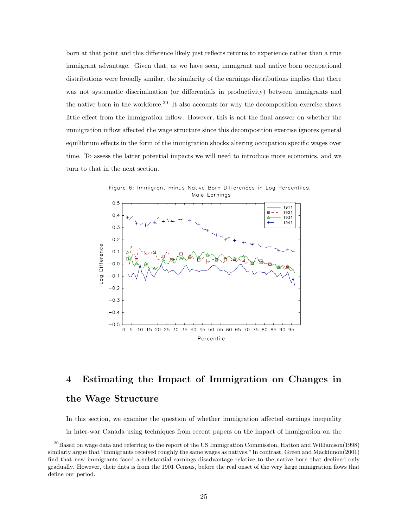born at that point and this difference likely just reflects returns to experience rather than a true immigrant advantage. Given that, as we have seen, immigrant and native born occupational distributions were broadly similar, the similarity of the earnings distributions implies that there was not systematic discrimination (or differentials in productivity) between immigrants and the native born in the workforce.<sup>20</sup> It also accounts for why the decomposition exercise shows little effect from the immigration inflow. However, this is not the final answer on whether the immigration inflow affected the wage structure since this decomposition exercise ignores general equilibrium effects in the form of the immigration shocks altering occupation specific wages over time. To assess the latter potential impacts we will need to introduce more economics, and we turn to that in the next section.



# 4 Estimating the Impact of Immigration on Changes in the Wage Structure

In this section, we examine the question of whether immigration affected earnings inequality

in inter-war Canada using techniques from recent papers on the impact of immigration on the

<sup>&</sup>lt;sup>20</sup>Based on wage data and referring to the report of the US Immigration Commission, Hatton and Williamson(1998) similarly argue that "immigrants received roughly the same wages as natives." In contrast, Green and Mackinnon(2001) find that new immigrants faced a substantial earnings disadvantage relative to the native born that declined only gradually. However, their data is from the 1901 Census, before the real onset of the very large immigration flows that define our period.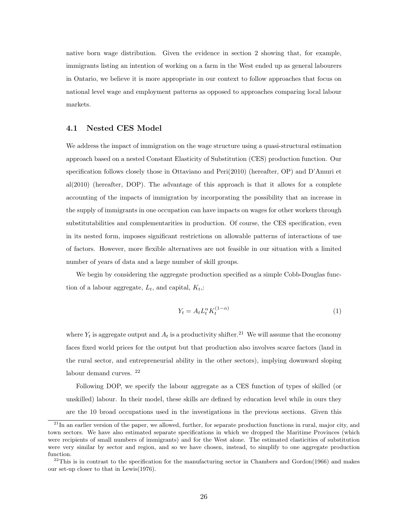native born wage distribution. Given the evidence in section 2 showing that, for example, immigrants listing an intention of working on a farm in the West ended up as general labourers in Ontario, we believe it is more appropriate in our context to follow approaches that focus on national level wage and employment patterns as opposed to approaches comparing local labour markets.

## 4.1 Nested CES Model

We address the impact of immigration on the wage structure using a quasi-structural estimation approach based on a nested Constant Elasticity of Substitution (CES) production function. Our specification follows closely those in Ottaviano and Peri(2010) (hereafter, OP) and D'Amuri et al(2010) (hereafter, DOP). The advantage of this approach is that it allows for a complete accounting of the impacts of immigration by incorporating the possibility that an increase in the supply of immigrants in one occupation can have impacts on wages for other workers through substitutabilities and complementarities in production. Of course, the CES specification, even in its nested form, imposes significant restrictions on allowable patterns of interactions of use of factors. However, more flexible alternatives are not feasible in our situation with a limited number of years of data and a large number of skill groups.

We begin by considering the aggregate production specified as a simple Cobb-Douglas function of a labour aggregate,  $L_t$ , and capital,  $K_t$ .

$$
Y_t = A_t L_t^{\alpha} K_t^{(1-\alpha)} \tag{1}
$$

where  $Y_t$  is aggregate output and  $A_t$  is a productivity shifter.<sup>21</sup> We will assume that the economy faces fixed world prices for the output but that production also involves scarce factors (land in the rural sector, and entrepreneurial ability in the other sectors), implying downward sloping labour demand curves. <sup>22</sup>

Following DOP, we specify the labour aggregate as a CES function of types of skilled (or unskilled) labour. In their model, these skills are defined by education level while in ours they are the 10 broad occupations used in the investigations in the previous sections. Given this

 $^{21}$ In an earlier version of the paper, we allowed, further, for separate production functions in rural, major city, and town sectors. We have also estimated separate specifications in which we dropped the Maritime Provinces (which were recipients of small numbers of immigrants) and for the West alone. The estimated elasticities of substitution were very similar by sector and region, and so we have chosen, instead, to simplify to one aggregate production function.

 $^{22}$ This is in contrast to the specification for the manufacturing sector in Chambers and Gordon(1966) and makes our set-up closer to that in Lewis(1976).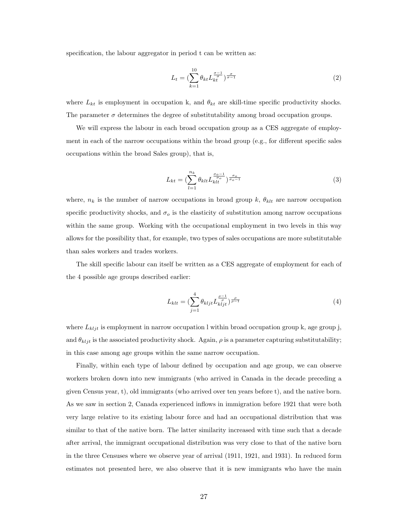specification, the labour aggregator in period t can be written as:

$$
L_t = \left(\sum_{k=1}^{10} \theta_{kt} L_{kt}^{\frac{\sigma - 1}{\sigma}}\right) \frac{\sigma}{\sigma - 1} \tag{2}
$$

where  $L_{kt}$  is employment in occupation k, and  $\theta_{kt}$  are skill-time specific productivity shocks. The parameter  $\sigma$  determines the degree of substitutability among broad occupation groups.

We will express the labour in each broad occupation group as a CES aggregate of employment in each of the narrow occupations within the broad group (e.g., for different specific sales occupations within the broad Sales group), that is,

$$
L_{kt} = \left(\sum_{l=1}^{n_k} \theta_{klt} L_{klt}^{\frac{\sigma_o - 1}{\sigma_o}}\right)_{\sigma_o - 1}^{\frac{\sigma_o}{\sigma_o - 1}}
$$
\n
$$
\tag{3}
$$

where,  $n_k$  is the number of narrow occupations in broad group k,  $\theta_{klt}$  are narrow occupation specific productivity shocks, and  $\sigma_o$  is the elasticity of substitution among narrow occupations within the same group. Working with the occupational employment in two levels in this way allows for the possibility that, for example, two types of sales occupations are more substitutable than sales workers and trades workers.

The skill specific labour can itself be written as a CES aggregate of employment for each of the 4 possible age groups described earlier:

$$
L_{klt} = \left(\sum_{j=1}^{4} \theta_{kljt} L_{kljt}^{\frac{\rho - 1}{\rho}}\right)^{\frac{\rho}{\rho - 1}}
$$
(4)

where  $L_{kljt}$  is employment in narrow occupation l within broad occupation group k, age group j, and  $\theta_{k l i t}$  is the associated productivity shock. Again,  $\rho$  is a parameter capturing substitutability; in this case among age groups within the same narrow occupation.

Finally, within each type of labour defined by occupation and age group, we can observe workers broken down into new immigrants (who arrived in Canada in the decade preceding a given Census year, t), old immigrants (who arrived over ten years before t), and the native born. As we saw in section 2, Canada experienced inflows in immigration before 1921 that were both very large relative to its existing labour force and had an occupational distribution that was similar to that of the native born. The latter similarity increased with time such that a decade after arrival, the immigrant occupational distribution was very close to that of the native born in the three Censuses where we observe year of arrival (1911, 1921, and 1931). In reduced form estimates not presented here, we also observe that it is new immigrants who have the main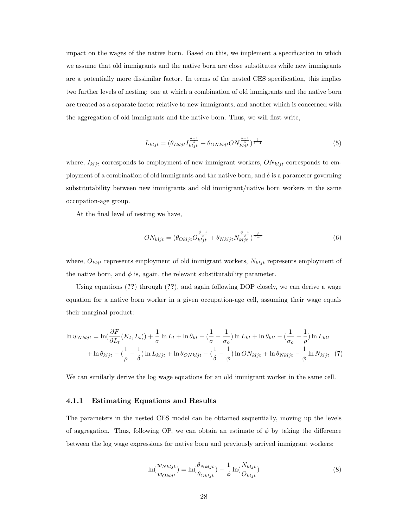impact on the wages of the native born. Based on this, we implement a specification in which we assume that old immigrants and the native born are close substitutes while new immigrants are a potentially more dissimilar factor. In terms of the nested CES specification, this implies two further levels of nesting: one at which a combination of old immigrants and the native born are treated as a separate factor relative to new immigrants, and another which is concerned with the aggregation of old immigrants and the native born. Thus, we will first write,

$$
L_{kljt} = (\theta_{Ikljt} I_{kljt}^{\frac{\delta-1}{\delta}} + \theta_{ONkljt} ON_{kljt}^{\frac{\delta-1}{\delta}})^{\frac{\delta}{\delta-1}}
$$
(5)

where,  $I_{k l j t}$  corresponds to employment of new immigrant workers,  $ON_{k l j t}$  corresponds to employment of a combination of old immigrants and the native born, and  $\delta$  is a parameter governing substitutability between new immigrants and old immigrant/native born workers in the same occupation-age group.

At the final level of nesting we have,

$$
ON_{kljt} = (\theta_{Okljt} O_{kljt}^{\frac{\phi-1}{\phi}} + \theta_{Nkljt} N_{kljt}^{\frac{\phi-1}{\phi}})^{\frac{\phi}{\phi-1}}
$$
(6)

where,  $O_{kljt}$  represents employment of old immigrant workers,  $N_{kljt}$  represents employment of the native born, and  $\phi$  is, again, the relevant substitutability parameter.

Using equations (??) through (??), and again following DOP closely, we can derive a wage equation for a native born worker in a given occupation-age cell, assuming their wage equals their marginal product:

$$
\ln w_{Nkljt} = \ln(\frac{\partial F}{\partial L_t}(K_t, L_t)) + \frac{1}{\sigma} \ln L_t + \ln \theta_{kt} - (\frac{1}{\sigma} - \frac{1}{\sigma_0}) \ln L_{kt} + \ln \theta_{klt} - (\frac{1}{\sigma_0} - \frac{1}{\rho}) \ln L_{klt}
$$

$$
+ \ln \theta_{kljt} - (\frac{1}{\rho} - \frac{1}{\delta}) \ln L_{kljt} + \ln \theta_{ONkljt} - (\frac{1}{\delta} - \frac{1}{\phi}) \ln ON_{kljt} + \ln \theta_{Nkljt} - \frac{1}{\phi} \ln N_{kljt} \quad (7)
$$

We can similarly derive the log wage equations for an old immigrant worker in the same cell.

## 4.1.1 Estimating Equations and Results

The parameters in the nested CES model can be obtained sequentially, moving up the levels of aggregation. Thus, following OP, we can obtain an estimate of  $\phi$  by taking the difference between the log wage expressions for native born and previously arrived immigrant workers:

$$
\ln(\frac{w_{Nkljt}}{w_{Okljt}}) = \ln(\frac{\theta_{Nkljt}}{\theta_{Okljt}}) - \frac{1}{\phi} \ln(\frac{N_{kljt}}{O_{kljt}})
$$
\n(8)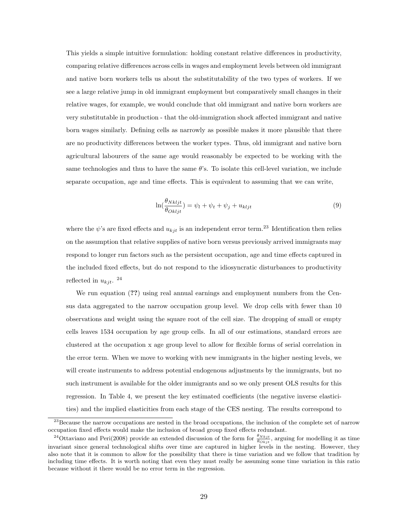This yields a simple intuitive formulation: holding constant relative differences in productivity, comparing relative differences across cells in wages and employment levels between old immigrant and native born workers tells us about the substitutability of the two types of workers. If we see a large relative jump in old immigrant employment but comparatively small changes in their relative wages, for example, we would conclude that old immigrant and native born workers are very substitutable in production - that the old-immigration shock affected immigrant and native born wages similarly. Defining cells as narrowly as possible makes it more plausible that there are no productivity differences between the worker types. Thus, old immigrant and native born agricultural labourers of the same age would reasonably be expected to be working with the same technologies and thus to have the same θ's. To isolate this cell-level variation, we include separate occupation, age and time effects. This is equivalent to assuming that we can write,

$$
\ln(\frac{\theta_{Nkljt}}{\theta_{Okljt}}) = \psi_l + \psi_t + \psi_j + u_{kljt}
$$
\n(9)

where the  $\psi$ 's are fixed effects and  $u_{kjt}$  is an independent error term.<sup>23</sup> Identification then relies on the assumption that relative supplies of native born versus previously arrived immigrants may respond to longer run factors such as the persistent occupation, age and time effects captured in the included fixed effects, but do not respond to the idiosyncratic disturbances to productivity reflected in  $u_{kjt}$ . <sup>24</sup>

We run equation  $(?)$  using real annual earnings and employment numbers from the Census data aggregated to the narrow occupation group level. We drop cells with fewer than 10 observations and weight using the square root of the cell size. The dropping of small or empty cells leaves 1534 occupation by age group cells. In all of our estimations, standard errors are clustered at the occupation x age group level to allow for flexible forms of serial correlation in the error term. When we move to working with new immigrants in the higher nesting levels, we will create instruments to address potential endogenous adjustments by the immigrants, but no such instrument is available for the older immigrants and so we only present OLS results for this regression. In Table 4, we present the key estimated coefficients (the negative inverse elasticities) and the implied elasticities from each stage of the CES nesting. The results correspond to

 $23$ Because the narrow occupations are nested in the broad occupations, the inclusion of the complete set of narrow occupation fixed effects would make the inclusion of broad group fixed effects redundant.

<sup>&</sup>lt;sup>24</sup>Ottaviano and Peri(2008) provide an extended discussion of the form for  $\frac{\theta_{Nkjt}}{\theta_{Okjt}}$ , arguing for modelling it as time invariant since general technological shifts over time are captured in higher levels in the nesting. However, they also note that it is common to allow for the possibility that there is time variation and we follow that tradition by including time effects. It is worth noting that even they must really be assuming some time variation in this ratio because without it there would be no error term in the regression.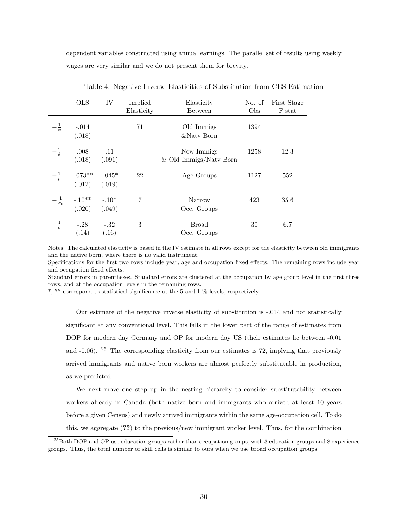dependent variables constructed using annual earnings. The parallel set of results using weekly wages are very similar and we do not present them for brevity.

|                     | <b>OLS</b>                                                                  | IV                        | Implied<br>Elasticity<br>Elasticity<br><b>Between</b> |                                        | No. of<br>Obs | First Stage<br>F stat |
|---------------------|-----------------------------------------------------------------------------|---------------------------|-------------------------------------------------------|----------------------------------------|---------------|-----------------------|
| $-\frac{1}{\phi}$   | $-.014$<br>(.018)                                                           |                           | 71                                                    | Old Immigs<br>&Naty Born               | 1394          |                       |
| $-\frac{1}{\delta}$ | .008<br>(.018)                                                              | $\overline{11}$<br>(.091) |                                                       | New Immigs<br>$&$ Old Immigs/Natv Born | 1258          | 12.3                  |
| $-\frac{1}{\rho}$   | $-0.073**$ $-0.045*$<br>(.012) (.019)                                       |                           | 22                                                    | Age Groups                             | 1127          | 552                   |
|                     | $-\frac{1}{\sigma_0}$ -.10 <sup>**</sup> -.10 <sup>*</sup><br>(.020) (.049) |                           | 7                                                     | Narrow<br>Occ. Groups                  | 423           | 35.6                  |
| $-\frac{1}{\sigma}$ | $-.28$<br>(.14)                                                             | $-.32$<br>(.16)           | 3                                                     | <b>Broad</b><br>Occ. Groups            | 30            | 6.7                   |

Table 4: Negative Inverse Elasticities of Substitution from CES Estimation

Notes: The calculated elasticity is based in the IV estimate in all rows except for the elasticity between old immigrants and the native born, where there is no valid instrument.

Specifications for the first two rows include year, age and occupation fixed effects. The remaining rows include year and occupation fixed effects.

Standard errors in parentheses. Standard errors are clustered at the occupation by age group level in the first three rows, and at the occupation levels in the remaining rows.

\*, \*\* correspond to statistical significance at the 5 and 1 % levels, respectively.

Our estimate of the negative inverse elasticity of substitution is -.014 and not statistically significant at any conventional level. This falls in the lower part of the range of estimates from DOP for modern day Germany and OP for modern day US (their estimates lie between -0.01 and  $-0.06$ ). <sup>25</sup> The corresponding elasticity from our estimates is 72, implying that previously arrived immigrants and native born workers are almost perfectly substitutable in production, as we predicted.

We next move one step up in the nesting hierarchy to consider substitutability between workers already in Canada (both native born and immigrants who arrived at least 10 years before a given Census) and newly arrived immigrants within the same age-occupation cell. To do this, we aggregate (??) to the previous/new immigrant worker level. Thus, for the combination

<sup>&</sup>lt;sup>25</sup>Both DOP and OP use education groups rather than occupation groups, with 3 education groups and 8 experience groups. Thus, the total number of skill cells is similar to ours when we use broad occupation groups.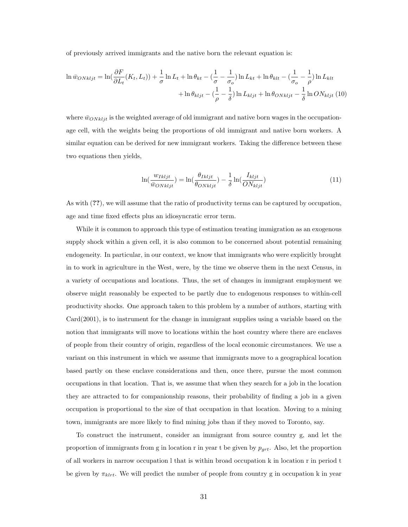of previously arrived immigrants and the native born the relevant equation is:

$$
\ln \bar{w}_{ONkljt} = \ln(\frac{\partial F}{\partial L_t}(K_t, L_t)) + \frac{1}{\sigma} \ln L_t + \ln \theta_{kt} - (\frac{1}{\sigma} - \frac{1}{\sigma_o}) \ln L_{kt} + \ln \theta_{klt} - (\frac{1}{\sigma_o} - \frac{1}{\rho}) \ln L_{klt} + \ln \theta_{kljt} - (\frac{1}{\rho} - \frac{1}{\delta}) \ln L_{kljt} + \ln \theta_{ONkljt} - \frac{1}{\delta} \ln ON_{kljt} (10)
$$

where  $\bar{w}_{ONk l j t}$  is the weighted average of old immigrant and native born wages in the occupationage cell, with the weights being the proportions of old immigrant and native born workers. A similar equation can be derived for new immigrant workers. Taking the difference between these two equations then yields,

$$
\ln(\frac{w_{Ikljt}}{\bar{w}_{ONkljt}}) = \ln(\frac{\theta_{Ikljt}}{\theta_{ONkljt}}) - \frac{1}{\delta} \ln(\frac{I_{kljt}}{ON_{kljt}})
$$
(11)

As with (??), we will assume that the ratio of productivity terms can be captured by occupation, age and time fixed effects plus an idiosyncratic error term.

While it is common to approach this type of estimation treating immigration as an exogenous supply shock within a given cell, it is also common to be concerned about potential remaining endogeneity. In particular, in our context, we know that immigrants who were explicitly brought in to work in agriculture in the West, were, by the time we observe them in the next Census, in a variety of occupations and locations. Thus, the set of changes in immigrant employment we observe might reasonably be expected to be partly due to endogenous responses to within-cell productivity shocks. One approach taken to this problem by a number of authors, starting with Card(2001), is to instrument for the change in immigrant supplies using a variable based on the notion that immigrants will move to locations within the host country where there are enclaves of people from their country of origin, regardless of the local economic circumstances. We use a variant on this instrument in which we assume that immigrants move to a geographical location based partly on these enclave considerations and then, once there, pursue the most common occupations in that location. That is, we assume that when they search for a job in the location they are attracted to for companionship reasons, their probability of finding a job in a given occupation is proportional to the size of that occupation in that location. Moving to a mining town, immigrants are more likely to find mining jobs than if they moved to Toronto, say.

To construct the instrument, consider an immigrant from source country g, and let the proportion of immigrants from g in location r in year t be given by  $p_{grt}$ . Also, let the proportion of all workers in narrow occupation l that is within broad occupation k in location r in period t be given by  $\pi_{k l r t}$ . We will predict the number of people from country g in occupation k in year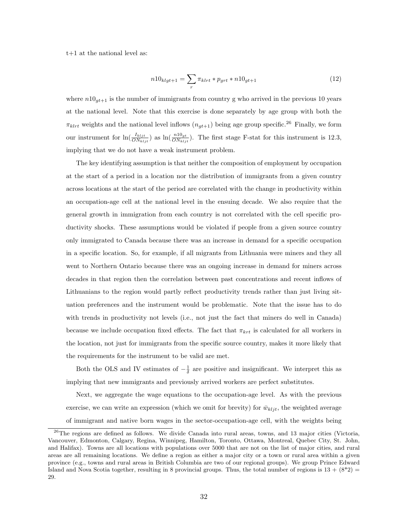t+1 at the national level as:

$$
n10_{klgt+1} = \sum_{r} \pi_{klrt} * p_{grt} * n10_{gt+1}
$$
\n(12)

where  $n10_{qt+1}$  is the number of immigrants from country g who arrived in the previous 10 years at the national level. Note that this exercise is done separately by age group with both the  $\pi_{klrt}$  weights and the national level inflows  $(n_{gt+1})$  being age group specific.<sup>26</sup> Finally, we form our instrument for  $\ln(\frac{I_{k l j t}}{ON_{k l j t}})$  as  $\ln(\frac{n l 0_{gt}}{ON_{k l j t}})$ . The first stage F-stat for this instrument is 12.3, implying that we do not have a weak instrument problem.

The key identifying assumption is that neither the composition of employment by occupation at the start of a period in a location nor the distribution of immigrants from a given country across locations at the start of the period are correlated with the change in productivity within an occupation-age cell at the national level in the ensuing decade. We also require that the general growth in immigration from each country is not correlated with the cell specific productivity shocks. These assumptions would be violated if people from a given source country only immigrated to Canada because there was an increase in demand for a specific occupation in a specific location. So, for example, if all migrants from Lithuania were miners and they all went to Northern Ontario because there was an ongoing increase in demand for miners across decades in that region then the correlation between past concentrations and recent inflows of Lithuanians to the region would partly reflect productivity trends rather than just living situation preferences and the instrument would be problematic. Note that the issue has to do with trends in productivity not levels (i.e., not just the fact that miners do well in Canada) because we include occupation fixed effects. The fact that  $\pi_{krt}$  is calculated for all workers in the location, not just for immigrants from the specific source country, makes it more likely that the requirements for the instrument to be valid are met.

Both the OLS and IV estimates of  $-\frac{1}{\delta}$  are positive and insignificant. We interpret this as implying that new immigrants and previously arrived workers are perfect substitutes.

Next, we aggregate the wage equations to the occupation-age level. As with the previous exercise, we can write an expression (which we omit for brevity) for  $\bar{w}_{kljt}$ , the weighted average of immigrant and native born wages in the sector-occupation-age cell, with the weights being

 $^{26}$ The regions are defined as follows. We divide Canada into rural areas, towns, and 13 major cities (Victoria, Vancouver, Edmonton, Calgary, Regina, Winnipeg, Hamilton, Toronto, Ottawa, Montreal, Quebec City, St. John, and Halifax). Towns are all locations with populations over 5000 that are not on the list of major cities, and rural areas are all remaining locations. We define a region as either a major city or a town or rural area within a given province (e.g., towns and rural areas in British Columbia are two of our regional groups). We group Prince Edward Island and Nova Scotia together, resulting in 8 provincial groups. Thus, the total number of regions is  $13 + (8^*2) =$ 29.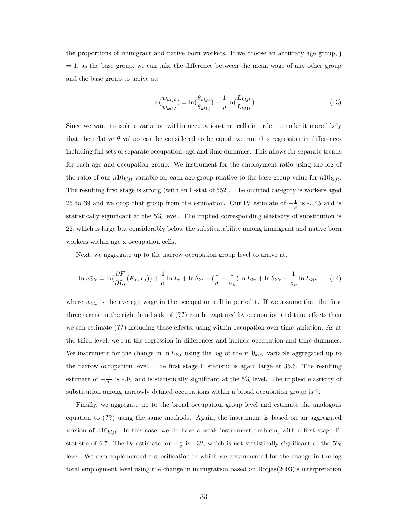the proportions of immigrant and native born workers. If we choose an arbitrary age group, j  $= 1$ , as the base group, we can take the difference between the mean wage of any other group and the base group to arrive at:

$$
\ln(\frac{\bar{w}_{kljt}}{\bar{w}_{kl1t}}) = \ln(\frac{\theta_{kljt}}{\theta_{kl1t}}) - \frac{1}{\rho} \ln(\frac{L_{kljt}}{L_{kl1t}})
$$
\n(13)

Since we want to isolate variation within occupation-time cells in order to make it more likely that the relative  $\theta$  values can be considered to be equal, we run this regression in differences including full sets of separate occupation, age and time dummies. This allows for separate trends for each age and occupation group. We instrument for the employment ratio using the log of the ratio of our  $n10_{k l j t}$  variable for each age group relative to the base group value for  $n10_{k l j t}$ . The resulting first stage is strong (with an F-stat of 552). The omitted category is workers aged 25 to 39 and we drop that group from the estimation. Our IV estimate of  $-\frac{1}{\rho}$  is -.045 and is statistically significant at the 5% level. The implied corresponding elasticity of substitution is 22, which is large but considerably below the substitutability among immigrant and native born workers within age x occupation cells.

Next, we aggregate up to the narrow occupation group level to arrive at,

$$
\ln w_{klt}^- = \ln\left(\frac{\partial F}{\partial L_t}(K_t, L_t)\right) + \frac{1}{\sigma} \ln L_t + \ln \theta_{kt} - \left(\frac{1}{\sigma} - \frac{1}{\sigma_o}\right) \ln L_{kt} + \ln \theta_{klt} - \frac{1}{\sigma_o} \ln L_{klt} \tag{14}
$$

where  $w_{klt}$  is the average wage in the occupation cell in period t. If we assume that the first three terms on the right hand side of (??) can be captured by occupation and time effects then we can estimate (??) including those effects, using within occupation over time variation. As at the third level, we run the regression in differences and include occupation and time dummies. We instrument for the change in  $\ln L_{klt}$  using the log of the  $n10_{klt}$  variable aggregated up to the narrow occupation level. The first stage F statistic is again large at 35.6. The resulting estimate of  $-\frac{1}{\sigma_o}$  is -.10 and is statistically significant at the 5% level. The implied elasticity of substitution among narrowly defined occupations within a broad occupation group is 7.

Finally, we aggregate up to the broad occupation group level and estimate the analogous equation to (??) using the same methods. Again, the instrument is based on an aggregated version of  $n10_{kljt}$ . In this case, we do have a weak instrument problem, with a first stage Fstatistic of 6.7. The IV estimate for  $-\frac{1}{\sigma}$  is -.32, which is not statistically significant at the 5% level. We also implemented a specification in which we instrumented for the change in the log total employment level using the change in immigration based on Borjas(2003)'s interpretation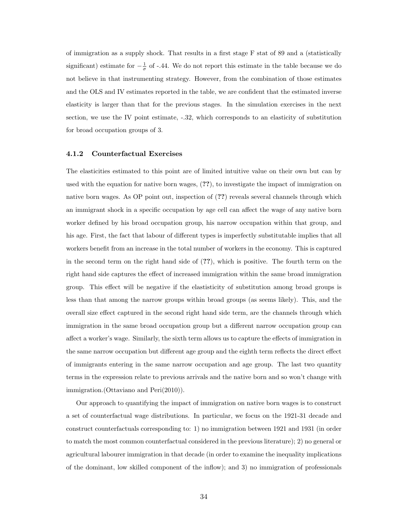of immigration as a supply shock. That results in a first stage F stat of 89 and a (statistically significant) estimate for  $-\frac{1}{\sigma}$  of -.44. We do not report this estimate in the table because we do not believe in that instrumenting strategy. However, from the combination of those estimates and the OLS and IV estimates reported in the table, we are confident that the estimated inverse elasticity is larger than that for the previous stages. In the simulation exercises in the next section, we use the IV point estimate, -.32, which corresponds to an elasticity of substitution for broad occupation groups of 3.

#### 4.1.2 Counterfactual Exercises

The elasticities estimated to this point are of limited intuitive value on their own but can by used with the equation for native born wages, (??), to investigate the impact of immigration on native born wages. As OP point out, inspection of  $(??)$  reveals several channels through which an immigrant shock in a specific occupation by age cell can affect the wage of any native born worker defined by his broad occupation group, his narrow occupation within that group, and his age. First, the fact that labour of different types is imperfectly substitutable implies that all workers benefit from an increase in the total number of workers in the economy. This is captured in the second term on the right hand side of (??), which is positive. The fourth term on the right hand side captures the effect of increased immigration within the same broad immigration group. This effect will be negative if the elastisticity of substitution among broad groups is less than that among the narrow groups within broad groups (as seems likely). This, and the overall size effect captured in the second right hand side term, are the channels through which immigration in the same broad occupation group but a different narrow occupation group can affect a worker's wage. Similarly, the sixth term allows us to capture the effects of immigration in the same narrow occupation but different age group and the eighth term reflects the direct effect of immigrants entering in the same narrow occupation and age group. The last two quantity terms in the expression relate to previous arrivals and the native born and so won't change with immigration.(Ottaviano and Peri(2010)).

Our approach to quantifying the impact of immigration on native born wages is to construct a set of counterfactual wage distributions. In particular, we focus on the 1921-31 decade and construct counterfactuals corresponding to: 1) no immigration between 1921 and 1931 (in order to match the most common counterfactual considered in the previous literature); 2) no general or agricultural labourer immigration in that decade (in order to examine the inequality implications of the dominant, low skilled component of the inflow); and 3) no immigration of professionals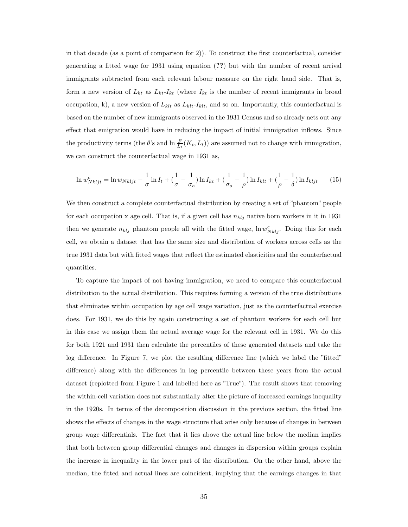in that decade (as a point of comparison for 2)). To construct the first counterfactual, consider generating a fitted wage for 1931 using equation (??) but with the number of recent arrival immigrants subtracted from each relevant labour measure on the right hand side. That is, form a new version of  $L_{kt}$  as  $L_{kt}$ - $I_{kt}$  (where  $I_{kt}$  is the number of recent immigrants in broad occupation, k), a new version of  $L_{klt}$  as  $L_{klt}$ - $I_{klt}$ , and so on. Importantly, this counterfactual is based on the number of new immigrants observed in the 1931 Census and so already nets out any effect that emigration would have in reducing the impact of initial immigration inflows. Since the productivity terms (the  $\theta$ 's and  $\ln \frac{F}{L_t}(K_t, L_t)$ ) are assumed not to change with immigration, we can construct the counterfactual wage in 1931 as,

$$
\ln w_{Nkljt}^c = \ln w_{Nkljt} - \frac{1}{\sigma} \ln I_t + \left(\frac{1}{\sigma} - \frac{1}{\sigma_o}\right) \ln I_{kt} + \left(\frac{1}{\sigma_o} - \frac{1}{\rho}\right) \ln I_{klt} + \left(\frac{1}{\rho} - \frac{1}{\delta}\right) \ln I_{kljt} \tag{15}
$$

We then construct a complete counterfactual distribution by creating a set of "phantom" people for each occupation x age cell. That is, if a given cell has  $n_{klj}$  native born workers in it in 1931 then we generate  $n_{klj}$  phantom people all with the fitted wage,  $\ln w_{Nklj}^c$ . Doing this for each cell, we obtain a dataset that has the same size and distribution of workers across cells as the true 1931 data but with fitted wages that reflect the estimated elasticities and the counterfactual quantities.

To capture the impact of not having immigration, we need to compare this counterfactual distribution to the actual distribution. This requires forming a version of the true distributions that eliminates within occupation by age cell wage variation, just as the counterfactual exercise does. For 1931, we do this by again constructing a set of phantom workers for each cell but in this case we assign them the actual average wage for the relevant cell in 1931. We do this for both 1921 and 1931 then calculate the percentiles of these generated datasets and take the log difference. In Figure 7, we plot the resulting difference line (which we label the "fitted" difference) along with the differences in log percentile between these years from the actual dataset (replotted from Figure 1 and labelled here as "True"). The result shows that removing the within-cell variation does not substantially alter the picture of increased earnings inequality in the 1920s. In terms of the decomposition discussion in the previous section, the fitted line shows the effects of changes in the wage structure that arise only because of changes in between group wage differentials. The fact that it lies above the actual line below the median implies that both between group differential changes and changes in dispersion within groups explain the increase in inequality in the lower part of the distribution. On the other hand, above the median, the fitted and actual lines are coincident, implying that the earnings changes in that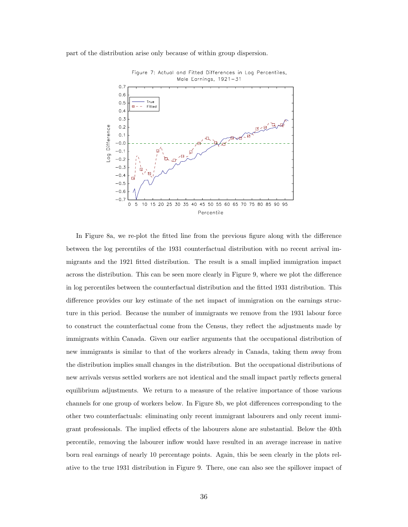part of the distribution arise only because of within group dispersion.



Figure 7: Actual and Fitted Differences in Log Percentiles, Male Earnings, 1921-31

In Figure 8a, we re-plot the fitted line from the previous figure along with the difference between the log percentiles of the 1931 counterfactual distribution with no recent arrival immigrants and the 1921 fitted distribution. The result is a small implied immigration impact across the distribution. This can be seen more clearly in Figure 9, where we plot the difference in log percentiles between the counterfactual distribution and the fitted 1931 distribution. This difference provides our key estimate of the net impact of immigration on the earnings structure in this period. Because the number of immigrants we remove from the 1931 labour force to construct the counterfactual come from the Census, they reflect the adjustments made by immigrants within Canada. Given our earlier arguments that the occupational distribution of new immigrants is similar to that of the workers already in Canada, taking them away from the distribution implies small changes in the distribution. But the occupational distributions of new arrivals versus settled workers are not identical and the small impact partly reflects general equilibrium adjustments. We return to a measure of the relative importance of those various channels for one group of workers below. In Figure 8b, we plot differences corresponding to the other two counterfactuals: eliminating only recent immigrant labourers and only recent immigrant professionals. The implied effects of the labourers alone are substantial. Below the 40th percentile, removing the labourer inflow would have resulted in an average increase in native born real earnings of nearly 10 percentage points. Again, this be seen clearly in the plots relative to the true 1931 distribution in Figure 9. There, one can also see the spillover impact of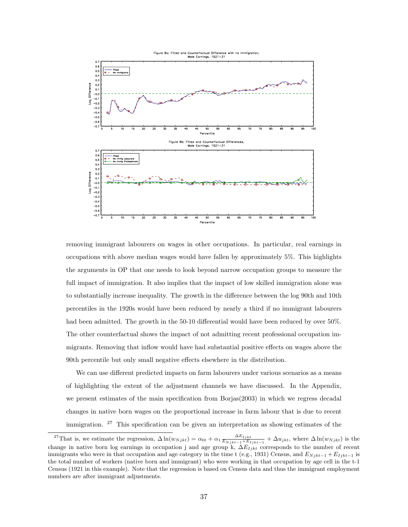

removing immigrant labourers on wages in other occupations. In particular, real earnings in occupations with above median wages would have fallen by approximately 5%. This highlights the arguments in OP that one needs to look beyond narrow occupation groups to measure the full impact of immigration. It also implies that the impact of low skilled immigration alone was to substantially increase inequality. The growth in the difference between the log 90th and 10th percentiles in the 1920s would have been reduced by nearly a third if no immigrant labourers had been admitted. The growth in the 50-10 differential would have been reduced by over 50%. The other counterfactual shows the impact of not admitting recent professional occupation immigrants. Removing that inflow would have had substantial positive effects on wages above the 90th percentile but only small negative effects elsewhere in the distribution.

We can use different predicted impacts on farm labourers under various scenarios as a means of highlighting the extent of the adjustment channels we have discussed. In the Appendix, we present estimates of the main specification from Borjas(2003) in which we regress decadal changes in native born wages on the proportional increase in farm labour that is due to recent immigration. <sup>27</sup> This specification can be given an interpretation as showing estimates of the

<sup>&</sup>lt;sup>27</sup>That is, we estimate the regression,  $\Delta \ln(w_{N jkt}) = \alpha_{0t} + \alpha_1 \frac{\Delta E_{I jkt}}{E_{N} (1 - \lambda + E)}$  $\frac{\Delta E_{Ijkt}}{E_{Njkt-1}+E_{Ijkt-1}} + \Delta u_{jkt}$ , where  $\Delta \ln(w_{Njkt})$  is the change in native born log earnings in occupation j and age group k,  $\Delta E_{Ijkt}$  corresponds to the number of recent immigrants who were in that occupation and age category in the time t (e.g., 1931) Census, and  $E_{Njkt-1} + E_{Ijkt-1}$  is the total number of workers (native born and immigrant) who were working in that occupation by age cell in the t-1 Census (1921 in this example). Note that the regression is based on Census data and thus the immigrant employment numbers are after immigrant adjustments.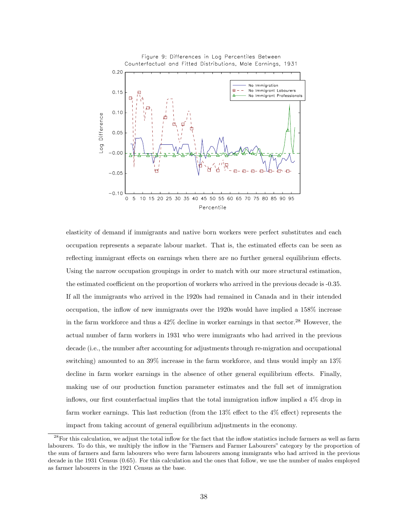

elasticity of demand if immigrants and native born workers were perfect substitutes and each occupation represents a separate labour market. That is, the estimated effects can be seen as reflecting immigrant effects on earnings when there are no further general equilibrium effects. Using the narrow occupation groupings in order to match with our more structural estimation, the estimated coefficient on the proportion of workers who arrived in the previous decade is -0.35. If all the immigrants who arrived in the 1920s had remained in Canada and in their intended occupation, the inflow of new immigrants over the 1920s would have implied a 158% increase in the farm workforce and thus a  $42\%$  decline in worker earnings in that sector.<sup>28</sup> However, the actual number of farm workers in 1931 who were immigrants who had arrived in the previous decade (i.e., the number after accounting for adjustments through re-migration and occupational switching) amounted to an 39% increase in the farm workforce, and thus would imply an 13% decline in farm worker earnings in the absence of other general equilibrium effects. Finally, making use of our production function parameter estimates and the full set of immigration inflows, our first counterfactual implies that the total immigration inflow implied a 4% drop in farm worker earnings. This last reduction (from the 13% effect to the 4% effect) represents the impact from taking account of general equilibrium adjustments in the economy.

 $^{28}$ For this calculation, we adjust the total inflow for the fact that the inflow statistics include farmers as well as farm labourers. To do this, we multiply the inflow in the "Farmers and Farmer Labourers" category by the proportion of the sum of farmers and farm labourers who were farm labourers among immigrants who had arrived in the previous decade in the 1931 Census (0.65). For this calculation and the ones that follow, we use the number of males employed as farmer labourers in the 1921 Census as the base.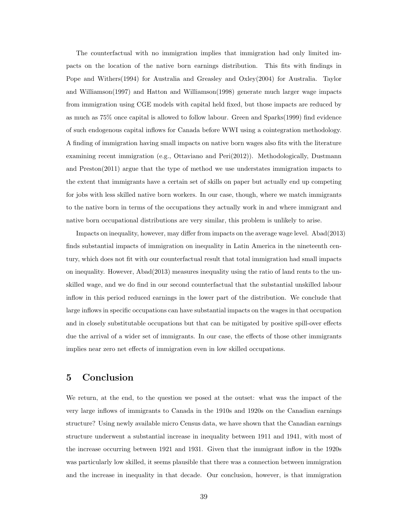The counterfactual with no immigration implies that immigration had only limited impacts on the location of the native born earnings distribution. This fits with findings in Pope and Withers(1994) for Australia and Greasley and Oxley(2004) for Australia. Taylor and Williamson(1997) and Hatton and Williamson(1998) generate much larger wage impacts from immigration using CGE models with capital held fixed, but those impacts are reduced by as much as 75% once capital is allowed to follow labour. Green and Sparks(1999) find evidence of such endogenous capital inflows for Canada before WWI using a cointegration methodology. A finding of immigration having small impacts on native born wages also fits with the literature examining recent immigration (e.g., Ottaviano and Peri(2012)). Methodologically, Dustmann and Preston(2011) argue that the type of method we use understates immigration impacts to the extent that immigrants have a certain set of skills on paper but actually end up competing for jobs with less skilled native born workers. In our case, though, where we match immigrants to the native born in terms of the occupations they actually work in and where immigrant and native born occupational distributions are very similar, this problem is unlikely to arise.

Impacts on inequality, however, may differ from impacts on the average wage level. Abad(2013) finds substantial impacts of immigration on inequality in Latin America in the nineteenth century, which does not fit with our counterfactual result that total immigration had small impacts on inequality. However, Abad(2013) measures inequality using the ratio of land rents to the unskilled wage, and we do find in our second counterfactual that the substantial unskilled labour inflow in this period reduced earnings in the lower part of the distribution. We conclude that large inflows in specific occupations can have substantial impacts on the wages in that occupation and in closely substitutable occupations but that can be mitigated by positive spill-over effects due the arrival of a wider set of immigrants. In our case, the effects of those other immigrants implies near zero net effects of immigration even in low skilled occupations.

## 5 Conclusion

We return, at the end, to the question we posed at the outset: what was the impact of the very large inflows of immigrants to Canada in the 1910s and 1920s on the Canadian earnings structure? Using newly available micro Census data, we have shown that the Canadian earnings structure underwent a substantial increase in inequality between 1911 and 1941, with most of the increase occurring between 1921 and 1931. Given that the immigrant inflow in the 1920s was particularly low skilled, it seems plausible that there was a connection between immigration and the increase in inequality in that decade. Our conclusion, however, is that immigration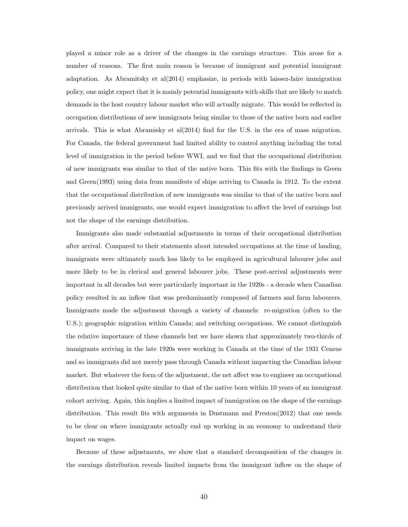played a minor role as a driver of the changes in the earnings structure. This arose for a number of reasons. The first main reason is because of immigrant and potential immigrant adaptation. As Abramitsky et al(2014) emphasize, in periods with laissez-faire immigration policy, one might expect that it is mainly potential immigrants with skills that are likely to match demands in the host country labour market who will actually migrate. This would be reflected in occupation distributions of new immigrants being similar to those of the native born and earlier arrivals. This is what Abramisky et al(2014) find for the U.S. in the era of mass migration. For Canada, the federal government had limited ability to control anything including the total level of immigration in the period before WWI, and we find that the occupational distribution of new immigrants was similar to that of the native born. This fits with the findings in Green and Green(1993) using data from manifests of ships arriving to Canada in 1912. To the extent that the occupational distribution of new immigrants was similar to that of the native born and previously arrived immigrants, one would expect immigration to affect the level of earnings but not the shape of the earnings distribution.

Immigrants also made substantial adjustments in terms of their occupational distribution after arrival. Compared to their statements about intended occupations at the time of landing, immigrants were ultimately much less likely to be employed in agricultural labourer jobs and more likely to be in clerical and general labourer jobs. These post-arrival adjustments were important in all decades but were particularly important in the 1920s - a decade when Canadian policy resulted in an inflow that was predominantly composed of farmers and farm labourers. Immigrants made the adjustment through a variety of channels: re-migration (often to the U.S.); geographic migration within Canada; and switching occupations. We cannot distinguish the relative importance of these channels but we have shown that approximately two-thirds of immigrants arriving in the late 1920s were working in Canada at the time of the 1931 Census and so immigrants did not merely pass through Canada without impacting the Canadian labour market. But whatever the form of the adjustment, the net affect was to engineer an occupational distribution that looked quite similar to that of the native born within 10 years of an immigrant cohort arriving. Again, this implies a limited impact of immigration on the shape of the earnings distribution. This result fits with arguments in Dustmann and Preston(2012) that one needs to be clear on where immigrants actually end up working in an economy to understand their impact on wages.

Because of these adjustments, we show that a standard decomposition of the changes in the earnings distribution reveals limited impacts from the immigrant inflow on the shape of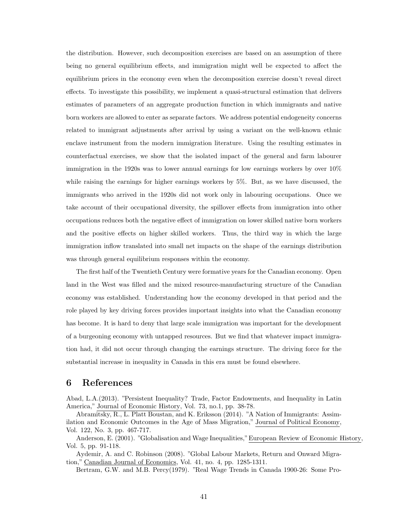the distribution. However, such decomposition exercises are based on an assumption of there being no general equilibrium effects, and immigration might well be expected to affect the equilibrium prices in the economy even when the decomposition exercise doesn't reveal direct effects. To investigate this possibility, we implement a quasi-structural estimation that delivers estimates of parameters of an aggregate production function in which immigrants and native born workers are allowed to enter as separate factors. We address potential endogeneity concerns related to immigrant adjustments after arrival by using a variant on the well-known ethnic enclave instrument from the modern immigration literature. Using the resulting estimates in counterfactual exercises, we show that the isolated impact of the general and farm labourer immigration in the 1920s was to lower annual earnings for low earnings workers by over 10% while raising the earnings for higher earnings workers by 5%. But, as we have discussed, the immigrants who arrived in the 1920s did not work only in labouring occupations. Once we take account of their occupational diversity, the spillover effects from immigration into other occupations reduces both the negative effect of immigration on lower skilled native born workers and the positive effects on higher skilled workers. Thus, the third way in which the large immigration inflow translated into small net impacts on the shape of the earnings distribution was through general equilibrium responses within the economy.

The first half of the Twentieth Century were formative years for the Canadian economy. Open land in the West was filled and the mixed resource-manufacturing structure of the Canadian economy was established. Understanding how the economy developed in that period and the role played by key driving forces provides important insights into what the Canadian economy has become. It is hard to deny that large scale immigration was important for the development of a burgeoning economy with untapped resources. But we find that whatever impact immigration had, it did not occur through changing the earnings structure. The driving force for the substantial increase in inequality in Canada in this era must be found elsewhere.

## 6 References

Abad, L.A.(2013). "Persistent Inequality? Trade, Factor Endowments, and Inequality in Latin America," Journal of Economic History, Vol. 73, no.1, pp. 38-78.

Abramitsky, R., L. Platt Boustan, and K. Eriksson (2014). "A Nation of Immigrants: Assimilation and Economic Outcomes in the Age of Mass Migration," Journal of Political Economy, Vol. 122, No. 3, pp. 467-717.

Anderson, E. (2001). "Globalisation and Wage Inequalities,"European Review of Economic History, Vol. 5, pp. 91-118.

Aydemir, A. and C. Robinson (2008). "Global Labour Markets, Return and Onward Migration," Canadian Journal of Economics, Vol. 41, no. 4, pp. 1285-1311.

Bertram, G.W. and M.B. Percy(1979). "Real Wage Trends in Canada 1900-26: Some Pro-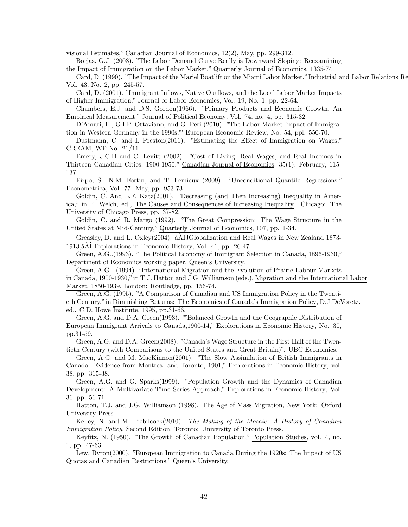visional Estimates," Canadian Journal of Economics, 12(2), May, pp. 299-312.

Borjas, G.J. (2003). "The Labor Demand Curve Really is Downward Sloping: Reexamining the Impact of Immigration on the Labor Market," Quarterly Journal of Economics, 1335-74.

Card, D. (1990). "The Impact of the Mariel Boatlift on the Miami Labor Market," Industrial and Labor Relations Re Vol. 43, No. 2, pp. 245-57.

Card, D. (2001). "Immigrant Inflows, Native Outflows, and the Local Labor Market Impacts of Higher Immigration," Journal of Labor Economics, Vol. 19, No. 1, pp. 22-64.

Chambers, E.J. and D.S. Gordon(1966). "Primary Products and Economic Growth, An Empirical Measurement," Journal of Political Economy, Vol. 74, no. 4, pp. 315-32.

D'Amuri, F., G.I.P. Ottaviano, and G. Peri (2010). "The Labor Market Impact of Immigration in Western Germany in the 1990s,"' European Economic Review, No. 54, ppl. 550-70.

Dustmann, C. and I. Preston(2011). "Estimating the Effect of Immigration on Wages," CREAM, WP No. 21/11.

Emery, J.C.H and C. Levitt (2002). "Cost of Living, Real Wages, and Real Incomes in Thirteen Canadian Cities, 1900-1950." Canadian Journal of Economics, 35(1), February, 115- 137.

Firpo, S., N.M. Fortin, and T. Lemieux (2009). "Unconditional Quantile Regressions." Econometrica, Vol. 77. May, pp. 953-73.

Goldin, C. And L.F. Katz(2001). "Decreasing (and Then Increasing) Inequality in America," in F. Welch, ed., The Causes and Consequences of Increasing Inequality. Chicago: The University of Chicago Press, pp. 37-82.

Goldin, C. and R. Margo (1992). "The Great Compression: The Wage Structure in the United States at Mid-Century," Quarterly Journal of Economics, 107, pp. 1-34.

Greasley, D. and L. Oxley(2004).  $\hat{\mathbf{a}}$ AIJGlobalization and Real Wages in New Zealand 1873-1913, $\hat{A}$ I Explorations in Economic History, Vol. 41, pp. 26-47.

Green, A.G..(1993). "The Political Economy of Immigrant Selection in Canada, 1896-1930," Department of Economics working paper, Queen's University.

Green, A.G.. (1994). "International Migration and the Evolution of Prairie Labour Markets in Canada, 1900-1930,"in T.J. Hatton and J.G. Williamson (eds.), Migration and the International Labor Market, 1850-1939, London: Routledge, pp. 156-74.

Green, A.G. (1995). "A Comparison of Canadian and US Immigration Policy in the Twentieth Century,"in Diminishing Returns: The Economics of Canada's Immigration Policy, D.J.DeVoretz, ed.. C.D. Howe Institute, 1995, pp.31-66.

Green, A.G. and D.A. Green(1993). ""Balanced Growth and the Geographic Distribution of European Immigrant Arrivals to Canada,1900-14," Explorations in Economic History, No. 30, pp.31-59.

Green, A.G. and D.A. Green(2008). "Canada's Wage Structure in the First Half of the Twentieth Century (with Comparisons to the United States and Great Britain)". UBC Economics.

Green, A.G. and M. MacKinnon(2001). "The Slow Assimilation of British Immigrants in Canada: Evidence from Montreal and Toronto, 1901," Explorations in Economic History, vol. 38, pp. 315-38.

Green, A.G. and G. Sparks(1999). "Population Growth and the Dynamics of Canadian Development: A Multivariate Time Series Approach," Explorations in Economic History, Vol. 36, pp. 56-71.

Hatton, T.J. and J.G. Williamson (1998). The Age of Mass Migration, New York: Oxford University Press.

Kelley, N. and M. Trebilcock(2010). The Making of the Mosaic: A History of Canadian Immigration Policy, Second Edition, Toronto: University of Toronto Press.

Keyfitz, N. (1950). "The Growth of Canadian Population," Population Studies, vol. 4, no. 1, pp. 47-63.

Lew, Byron(2000). "European Immigration to Canada During the 1920s: The Impact of US Quotas and Canadian Restrictions," Queen's University.